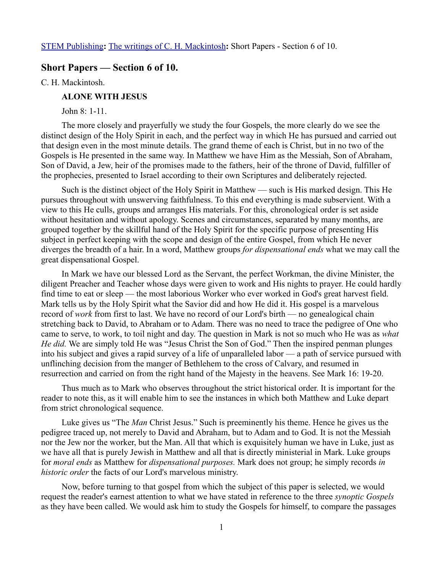[STEM Publishing](http://www.stempublishing.com/)**:** [The writings of C. H. Mackintosh](http://www.stempublishing.com/authors/mackintosh/index.html)**:** Short Papers - Section 6 of 10.

## **Short Papers — Section 6 of 10.**

C. H. Mackintosh.

## **ALONE WITH JESUS**

John 8: 1-11.

The more closely and prayerfully we study the four Gospels, the more clearly do we see the distinct design of the Holy Spirit in each, and the perfect way in which He has pursued and carried out that design even in the most minute details. The grand theme of each is Christ, but in no two of the Gospels is He presented in the same way. In Matthew we have Him as the Messiah, Son of Abraham, Son of David, a Jew, heir of the promises made to the fathers, heir of the throne of David, fulfiller of the prophecies, presented to Israel according to their own Scriptures and deliberately rejected.

Such is the distinct object of the Holy Spirit in Matthew — such is His marked design. This He pursues throughout with unswerving faithfulness. To this end everything is made subservient. With a view to this He culls, groups and arranges His materials. For this, chronological order is set aside without hesitation and without apology. Scenes and circumstances, separated by many months, are grouped together by the skillful hand of the Holy Spirit for the specific purpose of presenting His subject in perfect keeping with the scope and design of the entire Gospel, from which He never diverges the breadth of a hair. In a word, Matthew groups *for dispensational ends* what we may call the great dispensational Gospel.

In Mark we have our blessed Lord as the Servant, the perfect Workman, the divine Minister, the diligent Preacher and Teacher whose days were given to work and His nights to prayer. He could hardly find time to eat or sleep — the most laborious Worker who ever worked in God's great harvest field. Mark tells us by the Holy Spirit what the Savior did and how He did it. His gospel is a marvelous record of *work* from first to last. We have no record of our Lord's birth — no genealogical chain stretching back to David, to Abraham or to Adam. There was no need to trace the pedigree of One who came to serve, to work, to toil night and day. The question in Mark is not so much who He was as *what He did.* We are simply told He was "Jesus Christ the Son of God." Then the inspired penman plunges into his subject and gives a rapid survey of a life of unparalleled labor — a path of service pursued with unflinching decision from the manger of Bethlehem to the cross of Calvary, and resumed in resurrection and carried on from the right hand of the Majesty in the heavens. See Mark 16: 19-20.

Thus much as to Mark who observes throughout the strict historical order. It is important for the reader to note this, as it will enable him to see the instances in which both Matthew and Luke depart from strict chronological sequence.

Luke gives us "The *Man* Christ Jesus." Such is preeminently his theme. Hence he gives us the pedigree traced up, not merely to David and Abraham, but to Adam and to God. It is not the Messiah nor the Jew nor the worker, but the Man. All that which is exquisitely human we have in Luke, just as we have all that is purely Jewish in Matthew and all that is directly ministerial in Mark. Luke groups for *moral ends* as Matthew for *dispensational purposes.* Mark does not group; he simply records *in historic order* the facts of our Lord's marvelous ministry.

Now, before turning to that gospel from which the subject of this paper is selected, we would request the reader's earnest attention to what we have stated in reference to the three *synoptic Gospels* as they have been called. We would ask him to study the Gospels for himself, to compare the passages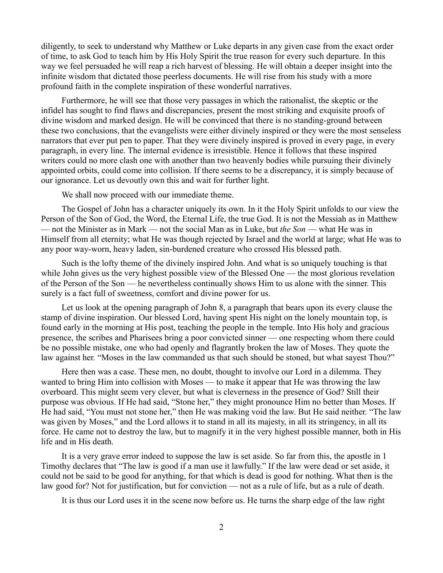diligently, to seek to understand why Matthew or Luke departs in any given case from the exact order of time, to ask God to teach him by His Holy Spirit the true reason for every such departure. In this way we feel persuaded he will reap a rich harvest of blessing. He will obtain a deeper insight into the infinite wisdom that dictated those peerless documents. He will rise from his study with a more profound faith in the complete inspiration of these wonderful narratives.

Furthermore, he will see that those very passages in which the rationalist, the skeptic or the infidel has sought to find flaws and discrepancies, present the most striking and exquisite proofs of divine wisdom and marked design. He will be convinced that there is no standing-ground between these two conclusions, that the evangelists were either divinely inspired or they were the most senseless narrators that ever put pen to paper. That they were divinely inspired is proved in every page, in every paragraph, in every line. The internal evidence is irresistible. Hence it follows that these inspired writers could no more clash one with another than two heavenly bodies while pursuing their divinely appointed orbits, could come into collision. If there seems to be a discrepancy, it is simply because of our ignorance. Let us devoutly own this and wait for further light.

We shall now proceed with our immediate theme.

The Gospel of John has a character uniquely its own. In it the Holy Spirit unfolds to our view the Person of the Son of God, the Word, the Eternal Life, the true God. It is not the Messiah as in Matthew — not the Minister as in Mark — not the social Man as in Luke, but *the Son* — what He was in Himself from all eternity; what He was though rejected by Israel and the world at large; what He was to any poor way-worn, heavy laden, sin-burdened creature who crossed His blessed path.

Such is the lofty theme of the divinely inspired John. And what is so uniquely touching is that while John gives us the very highest possible view of the Blessed One — the most glorious revelation of the Person of the Son — he nevertheless continually shows Him to us alone with the sinner. This surely is a fact full of sweetness, comfort and divine power for us.

Let us look at the opening paragraph of John 8, a paragraph that bears upon its every clause the stamp of divine inspiration. Our blessed Lord, having spent His night on the lonely mountain top, is found early in the morning at His post, teaching the people in the temple. Into His holy and gracious presence, the scribes and Pharisees bring a poor convicted sinner — one respecting whom there could be no possible mistake, one who had openly and flagrantly broken the law of Moses. They quote the law against her. "Moses in the law commanded us that such should be stoned, but what sayest Thou?"

Here then was a case. These men, no doubt, thought to involve our Lord in a dilemma. They wanted to bring Him into collision with Moses — to make it appear that He was throwing the law overboard. This might seem very clever, but what is cleverness in the presence of God? Still their purpose was obvious. If He had said, "Stone her," they might pronounce Him no better than Moses. If He had said, "You must not stone her," then He was making void the law. But He said neither. "The law was given by Moses," and the Lord allows it to stand in all its majesty, in all its stringency, in all its force. He came not to destroy the law, but to magnify it in the very highest possible manner, both in His life and in His death.

It is a very grave error indeed to suppose the law is set aside. So far from this, the apostle in 1 Timothy declares that "The law is good if a man use it lawfully." If the law were dead or set aside, it could not be said to be good for anything, for that which is dead is good for nothing. What then is the law good for? Not for justification, but for conviction — not as a rule of life, but as a rule of death.

It is thus our Lord uses it in the scene now before us. He turns the sharp edge of the law right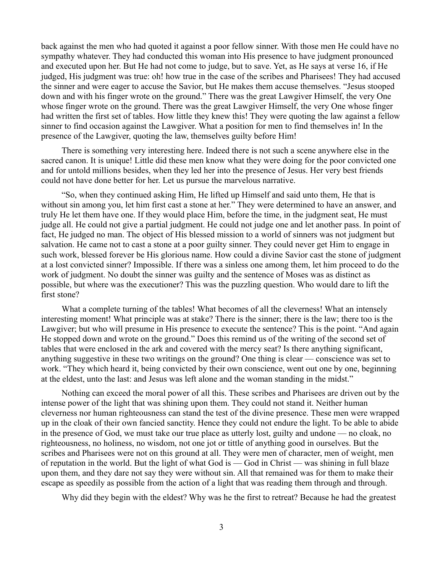back against the men who had quoted it against a poor fellow sinner. With those men He could have no sympathy whatever. They had conducted this woman into His presence to have judgment pronounced and executed upon her. But He had not come to judge, but to save. Yet, as He says at verse 16, if He judged, His judgment was true: oh! how true in the case of the scribes and Pharisees! They had accused the sinner and were eager to accuse the Savior, but He makes them accuse themselves. "Jesus stooped down and with his finger wrote on the ground." There was the great Lawgiver Himself, the very One whose finger wrote on the ground. There was the great Lawgiver Himself, the very One whose finger had written the first set of tables. How little they knew this! They were quoting the law against a fellow sinner to find occasion against the Lawgiver. What a position for men to find themselves in! In the presence of the Lawgiver, quoting the law, themselves guilty before Him!

There is something very interesting here. Indeed there is not such a scene anywhere else in the sacred canon. It is unique! Little did these men know what they were doing for the poor convicted one and for untold millions besides, when they led her into the presence of Jesus. Her very best friends could not have done better for her. Let us pursue the marvelous narrative.

"So, when they continued asking Him, He lifted up Himself and said unto them, He that is without sin among you, let him first cast a stone at her." They were determined to have an answer, and truly He let them have one. If they would place Him, before the time, in the judgment seat, He must judge all. He could not give a partial judgment. He could not judge one and let another pass. In point of fact, He judged no man. The object of His blessed mission to a world of sinners was not judgment but salvation. He came not to cast a stone at a poor guilty sinner. They could never get Him to engage in such work, blessed forever be His glorious name. How could a divine Savior cast the stone of judgment at a lost convicted sinner? Impossible. If there was a sinless one among them, let him proceed to do the work of judgment. No doubt the sinner was guilty and the sentence of Moses was as distinct as possible, but where was the executioner? This was the puzzling question. Who would dare to lift the first stone?

What a complete turning of the tables! What becomes of all the cleverness! What an intensely interesting moment! What principle was at stake? There is the sinner; there is the law; there too is the Lawgiver; but who will presume in His presence to execute the sentence? This is the point. "And again He stopped down and wrote on the ground." Does this remind us of the writing of the second set of tables that were enclosed in the ark and covered with the mercy seat? Is there anything significant, anything suggestive in these two writings on the ground? One thing is clear — conscience was set to work. "They which heard it, being convicted by their own conscience, went out one by one, beginning at the eldest, unto the last: and Jesus was left alone and the woman standing in the midst."

Nothing can exceed the moral power of all this. These scribes and Pharisees are driven out by the intense power of the light that was shining upon them. They could not stand it. Neither human cleverness nor human righteousness can stand the test of the divine presence. These men were wrapped up in the cloak of their own fancied sanctity. Hence they could not endure the light. To be able to abide in the presence of God, we must take our true place as utterly lost, guilty and undone — no cloak, no righteousness, no holiness, no wisdom, not one jot or tittle of anything good in ourselves. But the scribes and Pharisees were not on this ground at all. They were men of character, men of weight, men of reputation in the world. But the light of what God is — God in Christ — was shining in full blaze upon them, and they dare not say they were without sin. All that remained was for them to make their escape as speedily as possible from the action of a light that was reading them through and through.

Why did they begin with the eldest? Why was he the first to retreat? Because he had the greatest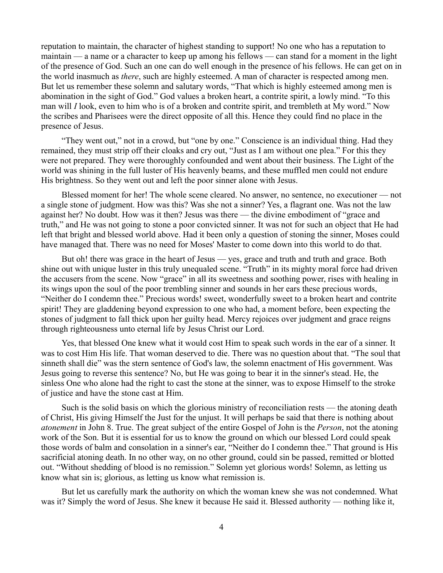reputation to maintain, the character of highest standing to support! No one who has a reputation to maintain — a name or a character to keep up among his fellows — can stand for a moment in the light of the presence of God. Such an one can do well enough in the presence of his fellows. He can get on in the world inasmuch as *there*, such are highly esteemed. A man of character is respected among men. But let us remember these solemn and salutary words, "That which is highly esteemed among men is abomination in the sight of God." God values a broken heart, a contrite spirit, a lowly mind. "To this man will *I* look, even to him who is of a broken and contrite spirit, and trembleth at My word." Now the scribes and Pharisees were the direct opposite of all this. Hence they could find no place in the presence of Jesus.

"They went out," not in a crowd, but "one by one." Conscience is an individual thing. Had they remained, they must strip off their cloaks and cry out, "Just as I am without one plea." For this they were not prepared. They were thoroughly confounded and went about their business. The Light of the world was shining in the full luster of His heavenly beams, and these muffled men could not endure His brightness. So they went out and left the poor sinner alone with Jesus.

Blessed moment for her! The whole scene cleared. No answer, no sentence, no executioner — not a single stone of judgment. How was this? Was she not a sinner? Yes, a flagrant one. Was not the law against her? No doubt. How was it then? Jesus was there — the divine embodiment of "grace and truth," and He was not going to stone a poor convicted sinner. It was not for such an object that He had left that bright and blessed world above. Had it been only a question of stoning the sinner, Moses could have managed that. There was no need for Moses' Master to come down into this world to do that.

But oh! there was grace in the heart of Jesus — yes, grace and truth and truth and grace. Both shine out with unique luster in this truly unequaled scene. "Truth" in its mighty moral force had driven the accusers from the scene. Now "grace" in all its sweetness and soothing power, rises with healing in its wings upon the soul of the poor trembling sinner and sounds in her ears these precious words, "Neither do I condemn thee." Precious words! sweet, wonderfully sweet to a broken heart and contrite spirit! They are gladdening beyond expression to one who had, a moment before, been expecting the stones of judgment to fall thick upon her guilty head. Mercy rejoices over judgment and grace reigns through righteousness unto eternal life by Jesus Christ our Lord.

Yes, that blessed One knew what it would cost Him to speak such words in the ear of a sinner. It was to cost Him His life. That woman deserved to die. There was no question about that. "The soul that sinneth shall die" was the stern sentence of God's law, the solemn enactment of His government. Was Jesus going to reverse this sentence? No, but He was going to bear it in the sinner's stead. He, the sinless One who alone had the right to cast the stone at the sinner, was to expose Himself to the stroke of justice and have the stone cast at Him.

Such is the solid basis on which the glorious ministry of reconciliation rests — the atoning death of Christ, His giving Himself the Just for the unjust. It will perhaps be said that there is nothing about *atonement* in John 8. True. The great subject of the entire Gospel of John is the *Person*, not the atoning work of the Son. But it is essential for us to know the ground on which our blessed Lord could speak those words of balm and consolation in a sinner's ear, "Neither do I condemn thee." That ground is His sacrificial atoning death. In no other way, on no other ground, could sin be passed, remitted or blotted out. "Without shedding of blood is no remission." Solemn yet glorious words! Solemn, as letting us know what sin is; glorious, as letting us know what remission is.

But let us carefully mark the authority on which the woman knew she was not condemned. What was it? Simply the word of Jesus. She knew it because He said it. Blessed authority — nothing like it,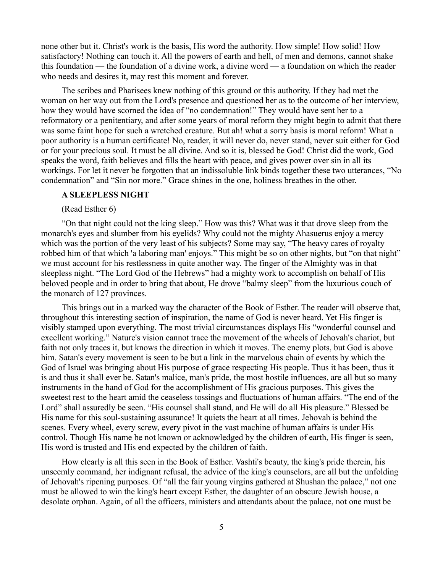none other but it. Christ's work is the basis, His word the authority. How simple! How solid! How satisfactory! Nothing can touch it. All the powers of earth and hell, of men and demons, cannot shake this foundation — the foundation of a divine work, a divine word — a foundation on which the reader who needs and desires it, may rest this moment and forever.

The scribes and Pharisees knew nothing of this ground or this authority. If they had met the woman on her way out from the Lord's presence and questioned her as to the outcome of her interview, how they would have scorned the idea of "no condemnation!" They would have sent her to a reformatory or a penitentiary, and after some years of moral reform they might begin to admit that there was some faint hope for such a wretched creature. But ah! what a sorry basis is moral reform! What a poor authority is a human certificate! No, reader, it will never do, never stand, never suit either for God or for your precious soul. It must be all divine. And so it is, blessed be God! Christ did the work, God speaks the word, faith believes and fills the heart with peace, and gives power over sin in all its workings. For let it never be forgotten that an indissoluble link binds together these two utterances, "No condemnation" and "Sin nor more." Grace shines in the one, holiness breathes in the other.

### **A SLEEPLESS NIGHT**

(Read Esther 6)

"On that night could not the king sleep." How was this? What was it that drove sleep from the monarch's eyes and slumber from his eyelids? Why could not the mighty Ahasuerus enjoy a mercy which was the portion of the very least of his subjects? Some may say, "The heavy cares of royalty robbed him of that which 'a laboring man' enjoys." This might be so on other nights, but "on that night" we must account for his restlessness in quite another way. The finger of the Almighty was in that sleepless night. "The Lord God of the Hebrews" had a mighty work to accomplish on behalf of His beloved people and in order to bring that about, He drove "balmy sleep" from the luxurious couch of the monarch of 127 provinces.

This brings out in a marked way the character of the Book of Esther. The reader will observe that, throughout this interesting section of inspiration, the name of God is never heard. Yet His finger is visibly stamped upon everything. The most trivial circumstances displays His "wonderful counsel and excellent working." Nature's vision cannot trace the movement of the wheels of Jehovah's chariot, but faith not only traces it, but knows the direction in which it moves. The enemy plots, but God is above him. Satan's every movement is seen to be but a link in the marvelous chain of events by which the God of Israel was bringing about His purpose of grace respecting His people. Thus it has been, thus it is and thus it shall ever be. Satan's malice, man's pride, the most hostile influences, are all but so many instruments in the hand of God for the accomplishment of His gracious purposes. This gives the sweetest rest to the heart amid the ceaseless tossings and fluctuations of human affairs. "The end of the Lord" shall assuredly be seen. "His counsel shall stand, and He will do all His pleasure." Blessed be His name for this soul-sustaining assurance! It quiets the heart at all times. Jehovah is behind the scenes. Every wheel, every screw, every pivot in the vast machine of human affairs is under His control. Though His name be not known or acknowledged by the children of earth, His finger is seen, His word is trusted and His end expected by the children of faith.

How clearly is all this seen in the Book of Esther. Vashti's beauty, the king's pride therein, his unseemly command, her indignant refusal, the advice of the king's counselors, are all but the unfolding of Jehovah's ripening purposes. Of "all the fair young virgins gathered at Shushan the palace," not one must be allowed to win the king's heart except Esther, the daughter of an obscure Jewish house, a desolate orphan. Again, of all the officers, ministers and attendants about the palace, not one must be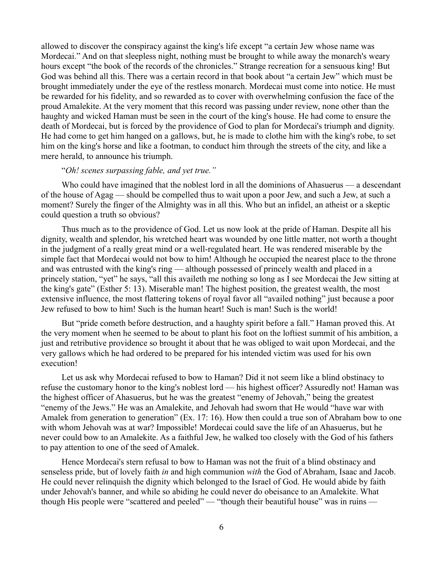allowed to discover the conspiracy against the king's life except "a certain Jew whose name was Mordecai." And on that sleepless night, nothing must be brought to while away the monarch's weary hours except "the book of the records of the chronicles." Strange recreation for a sensuous king! But God was behind all this. There was a certain record in that book about "a certain Jew" which must be brought immediately under the eye of the restless monarch. Mordecai must come into notice. He must be rewarded for his fidelity, and so rewarded as to cover with overwhelming confusion the face of the proud Amalekite. At the very moment that this record was passing under review, none other than the haughty and wicked Haman must be seen in the court of the king's house. He had come to ensure the death of Mordecai, but is forced by the providence of God to plan for Mordecai's triumph and dignity. He had come to get him hanged on a gallows, but, he is made to clothe him with the king's robe, to set him on the king's horse and like a footman, to conduct him through the streets of the city, and like a mere herald, to announce his triumph.

### "*Oh! scenes surpassing fable, and yet true."*

Who could have imagined that the noblest lord in all the dominions of Ahasuerus — a descendant of the house of Agag — should be compelled thus to wait upon a poor Jew, and such a Jew, at such a moment? Surely the finger of the Almighty was in all this. Who but an infidel, an atheist or a skeptic could question a truth so obvious?

Thus much as to the providence of God. Let us now look at the pride of Haman. Despite all his dignity, wealth and splendor, his wretched heart was wounded by one little matter, not worth a thought in the judgment of a really great mind or a well-regulated heart. He was rendered miserable by the simple fact that Mordecai would not bow to him! Although he occupied the nearest place to the throne and was entrusted with the king's ring — although possessed of princely wealth and placed in a princely station, "yet" he says, "all this availeth me nothing so long as I see Mordecai the Jew sitting at the king's gate" (Esther 5: 13). Miserable man! The highest position, the greatest wealth, the most extensive influence, the most flattering tokens of royal favor all "availed nothing" just because a poor Jew refused to bow to him! Such is the human heart! Such is man! Such is the world!

But "pride cometh before destruction, and a haughty spirit before a fall." Haman proved this. At the very moment when he seemed to be about to plant his foot on the loftiest summit of his ambition, a just and retributive providence so brought it about that he was obliged to wait upon Mordecai, and the very gallows which he had ordered to be prepared for his intended victim was used for his own execution!

Let us ask why Mordecai refused to bow to Haman? Did it not seem like a blind obstinacy to refuse the customary honor to the king's noblest lord — his highest officer? Assuredly not! Haman was the highest officer of Ahasuerus, but he was the greatest "enemy of Jehovah," being the greatest "enemy of the Jews." He was an Amalekite, and Jehovah had sworn that He would "have war with Amalek from generation to generation" (Ex. 17: 16). How then could a true son of Abraham bow to one with whom Jehovah was at war? Impossible! Mordecai could save the life of an Ahasuerus, but he never could bow to an Amalekite. As a faithful Jew, he walked too closely with the God of his fathers to pay attention to one of the seed of Amalek.

Hence Mordecai's stern refusal to bow to Haman was not the fruit of a blind obstinacy and senseless pride, but of lovely faith *in* and high communion *with* the God of Abraham, Isaac and Jacob. He could never relinquish the dignity which belonged to the Israel of God. He would abide by faith under Jehovah's banner, and while so abiding he could never do obeisance to an Amalekite. What though His people were "scattered and peeled" — "though their beautiful house" was in ruins —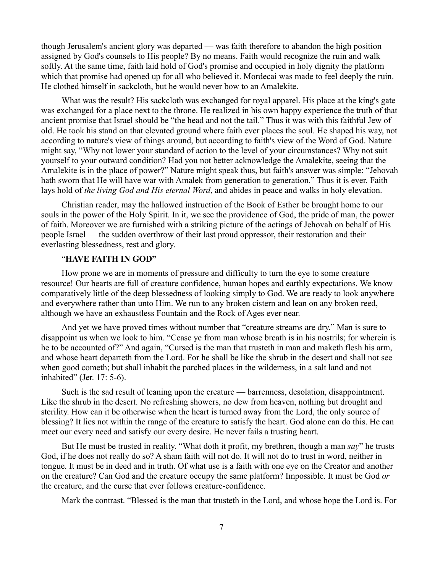though Jerusalem's ancient glory was departed — was faith therefore to abandon the high position assigned by God's counsels to His people? By no means. Faith would recognize the ruin and walk softly. At the same time, faith laid hold of God's promise and occupied in holy dignity the platform which that promise had opened up for all who believed it. Mordecai was made to feel deeply the ruin. He clothed himself in sackcloth, but he would never bow to an Amalekite.

What was the result? His sackcloth was exchanged for royal apparel. His place at the king's gate was exchanged for a place next to the throne. He realized in his own happy experience the truth of that ancient promise that Israel should be "the head and not the tail." Thus it was with this faithful Jew of old. He took his stand on that elevated ground where faith ever places the soul. He shaped his way, not according to nature's view of things around, but according to faith's view of the Word of God. Nature might say, "Why not lower your standard of action to the level of your circumstances? Why not suit yourself to your outward condition? Had you not better acknowledge the Amalekite, seeing that the Amalekite is in the place of power?" Nature might speak thus, but faith's answer was simple: "Jehovah hath sworn that He will have war with Amalek from generation to generation." Thus it is ever. Faith lays hold of *the living God and His eternal Word*, and abides in peace and walks in holy elevation.

Christian reader, may the hallowed instruction of the Book of Esther be brought home to our souls in the power of the Holy Spirit. In it, we see the providence of God, the pride of man, the power of faith. Moreover we are furnished with a striking picture of the actings of Jehovah on behalf of His people Israel — the sudden overthrow of their last proud oppressor, their restoration and their everlasting blessedness, rest and glory.

# "**HAVE FAITH IN GOD"**

How prone we are in moments of pressure and difficulty to turn the eye to some creature resource! Our hearts are full of creature confidence, human hopes and earthly expectations. We know comparatively little of the deep blessedness of looking simply to God. We are ready to look anywhere and everywhere rather than unto Him. We run to any broken cistern and lean on any broken reed, although we have an exhaustless Fountain and the Rock of Ages ever near.

And yet we have proved times without number that "creature streams are dry." Man is sure to disappoint us when we look to him. "Cease ye from man whose breath is in his nostrils; for wherein is he to be accounted of?" And again, "Cursed is the man that trusteth in man and maketh flesh his arm, and whose heart departeth from the Lord. For he shall be like the shrub in the desert and shall not see when good cometh; but shall inhabit the parched places in the wilderness, in a salt land and not inhabited" (Jer. 17: 5-6).

Such is the sad result of leaning upon the creature — barrenness, desolation, disappointment. Like the shrub in the desert. No refreshing showers, no dew from heaven, nothing but drought and sterility. How can it be otherwise when the heart is turned away from the Lord, the only source of blessing? It lies not within the range of the creature to satisfy the heart. God alone can do this. He can meet our every need and satisfy our every desire. He never fails a trusting heart.

But He must be trusted in reality. "What doth it profit, my brethren, though a man *say*" he trusts God, if he does not really do so? A sham faith will not do. It will not do to trust in word, neither in tongue. It must be in deed and in truth. Of what use is a faith with one eye on the Creator and another on the creature? Can God and the creature occupy the same platform? Impossible. It must be God *or* the creature, and the curse that ever follows creature-confidence.

Mark the contrast. "Blessed is the man that trusteth in the Lord, and whose hope the Lord is. For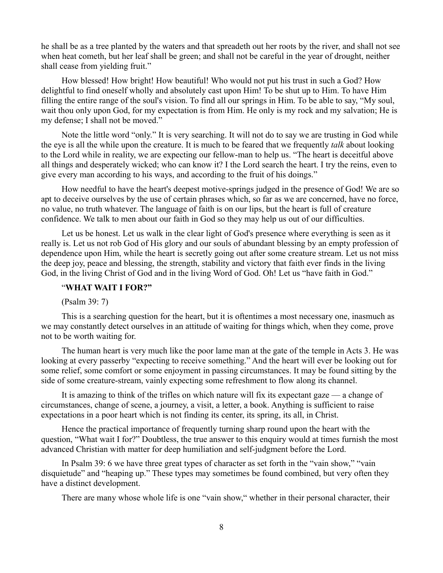he shall be as a tree planted by the waters and that spreadeth out her roots by the river, and shall not see when heat cometh, but her leaf shall be green; and shall not be careful in the year of drought, neither shall cease from yielding fruit."

How blessed! How bright! How beautiful! Who would not put his trust in such a God? How delightful to find oneself wholly and absolutely cast upon Him! To be shut up to Him. To have Him filling the entire range of the soul's vision. To find all our springs in Him. To be able to say, "My soul, wait thou only upon God, for my expectation is from Him. He only is my rock and my salvation; He is my defense; I shall not be moved."

Note the little word "only." It is very searching. It will not do to say we are trusting in God while the eye is all the while upon the creature. It is much to be feared that we frequently *talk* about looking to the Lord while in reality, we are expecting our fellow-man to help us. "The heart is deceitful above all things and desperately wicked; who can know it? I the Lord search the heart. I try the reins, even to give every man according to his ways, and according to the fruit of his doings."

How needful to have the heart's deepest motive-springs judged in the presence of God! We are so apt to deceive ourselves by the use of certain phrases which, so far as we are concerned, have no force, no value, no truth whatever. The language of faith is on our lips, but the heart is full of creature confidence. We talk to men about our faith in God so they may help us out of our difficulties.

Let us be honest. Let us walk in the clear light of God's presence where everything is seen as it really is. Let us not rob God of His glory and our souls of abundant blessing by an empty profession of dependence upon Him, while the heart is secretly going out after some creature stream. Let us not miss the deep joy, peace and blessing, the strength, stability and victory that faith ever finds in the living God, in the living Christ of God and in the living Word of God. Oh! Let us "have faith in God."

### "**WHAT WAIT I FOR?"**

(Psalm 39: 7)

This is a searching question for the heart, but it is oftentimes a most necessary one, inasmuch as we may constantly detect ourselves in an attitude of waiting for things which, when they come, prove not to be worth waiting for.

The human heart is very much like the poor lame man at the gate of the temple in Acts 3. He was looking at every passerby "expecting to receive something." And the heart will ever be looking out for some relief, some comfort or some enjoyment in passing circumstances. It may be found sitting by the side of some creature-stream, vainly expecting some refreshment to flow along its channel.

It is amazing to think of the trifles on which nature will fix its expectant gaze — a change of circumstances, change of scene, a journey, a visit, a letter, a book. Anything is sufficient to raise expectations in a poor heart which is not finding its center, its spring, its all, in Christ.

Hence the practical importance of frequently turning sharp round upon the heart with the question, "What wait I for?" Doubtless, the true answer to this enquiry would at times furnish the most advanced Christian with matter for deep humiliation and self-judgment before the Lord.

In Psalm 39: 6 we have three great types of character as set forth in the "vain show," "vain disquietude" and "heaping up." These types may sometimes be found combined, but very often they have a distinct development.

There are many whose whole life is one "vain show," whether in their personal character, their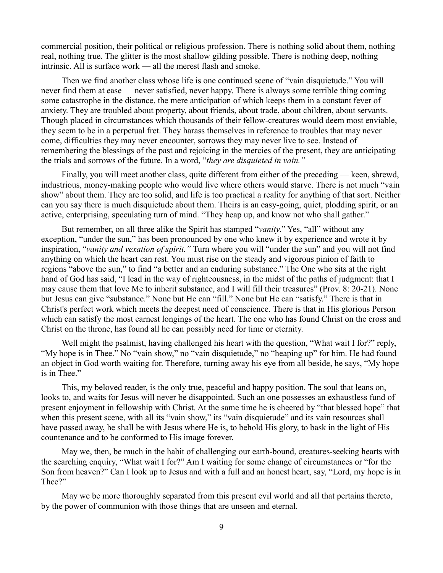commercial position, their political or religious profession. There is nothing solid about them, nothing real, nothing true. The glitter is the most shallow gilding possible. There is nothing deep, nothing intrinsic. All is surface work — all the merest flash and smoke.

Then we find another class whose life is one continued scene of "vain disquietude." You will never find them at ease — never satisfied, never happy. There is always some terrible thing coming some catastrophe in the distance, the mere anticipation of which keeps them in a constant fever of anxiety. They are troubled about property, about friends, about trade, about children, about servants. Though placed in circumstances which thousands of their fellow-creatures would deem most enviable, they seem to be in a perpetual fret. They harass themselves in reference to troubles that may never come, difficulties they may never encounter, sorrows they may never live to see. Instead of remembering the blessings of the past and rejoicing in the mercies of the present, they are anticipating the trials and sorrows of the future. In a word, "*they are disquieted in vain."*

Finally, you will meet another class, quite different from either of the preceding — keen, shrewd, industrious, money-making people who would live where others would starve. There is not much "vain show" about them. They are too solid, and life is too practical a reality for anything of that sort. Neither can you say there is much disquietude about them. Theirs is an easy-going, quiet, plodding spirit, or an active, enterprising, speculating turn of mind. "They heap up, and know not who shall gather."

But remember, on all three alike the Spirit has stamped "*vanity*." Yes, "all" without any exception, "under the sun," has been pronounced by one who knew it by experience and wrote it by inspiration, "*vanity and vexation of spirit."* Turn where you will "under the sun" and you will not find anything on which the heart can rest. You must rise on the steady and vigorous pinion of faith to regions "above the sun," to find "a better and an enduring substance." The One who sits at the right hand of God has said, "I lead in the way of righteousness, in the midst of the paths of judgment: that I may cause them that love Me to inherit substance, and I will fill their treasures" (Prov. 8: 20-21). None but Jesus can give "substance." None but He can "fill." None but He can "satisfy." There is that in Christ's perfect work which meets the deepest need of conscience. There is that in His glorious Person which can satisfy the most earnest longings of the heart. The one who has found Christ on the cross and Christ on the throne, has found all he can possibly need for time or eternity.

Well might the psalmist, having challenged his heart with the question, "What wait I for?" reply, "My hope is in Thee." No "vain show," no "vain disquietude," no "heaping up" for him. He had found an object in God worth waiting for. Therefore, turning away his eye from all beside, he says, "My hope is in Thee."

This, my beloved reader, is the only true, peaceful and happy position. The soul that leans on, looks to, and waits for Jesus will never be disappointed. Such an one possesses an exhaustless fund of present enjoyment in fellowship with Christ. At the same time he is cheered by "that blessed hope" that when this present scene, with all its "vain show," its "vain disquietude" and its vain resources shall have passed away, he shall be with Jesus where He is, to behold His glory, to bask in the light of His countenance and to be conformed to His image forever.

May we, then, be much in the habit of challenging our earth-bound, creatures-seeking hearts with the searching enquiry, "What wait I for?" Am I waiting for some change of circumstances or "for the Son from heaven?" Can I look up to Jesus and with a full and an honest heart, say, "Lord, my hope is in Thee?"

May we be more thoroughly separated from this present evil world and all that pertains thereto, by the power of communion with those things that are unseen and eternal.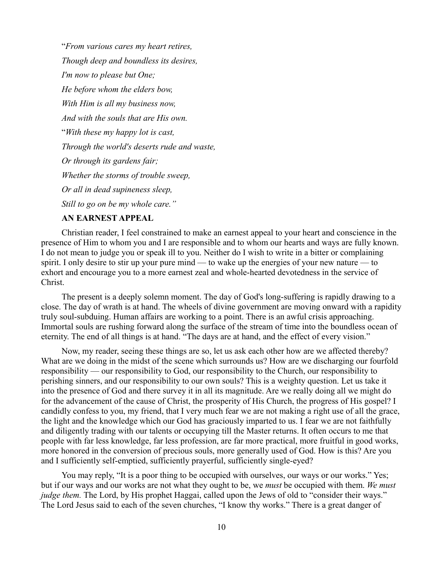"*From various cares my heart retires, Though deep and boundless its desires, I'm now to please but One; He before whom the elders bow, With Him is all my business now, And with the souls that are His own.* "*With these my happy lot is cast, Through the world's deserts rude and waste, Or through its gardens fair; Whether the storms of trouble sweep, Or all in dead supineness sleep, Still to go on be my whole care."* 

### **AN EARNEST APPEAL**

Christian reader, I feel constrained to make an earnest appeal to your heart and conscience in the presence of Him to whom you and I are responsible and to whom our hearts and ways are fully known. I do not mean to judge you or speak ill to you. Neither do I wish to write in a bitter or complaining spirit. I only desire to stir up your pure mind — to wake up the energies of your new nature — to exhort and encourage you to a more earnest zeal and whole-hearted devotedness in the service of Christ.

The present is a deeply solemn moment. The day of God's long-suffering is rapidly drawing to a close. The day of wrath is at hand. The wheels of divine government are moving onward with a rapidity truly soul-subduing. Human affairs are working to a point. There is an awful crisis approaching. Immortal souls are rushing forward along the surface of the stream of time into the boundless ocean of eternity. The end of all things is at hand. "The days are at hand, and the effect of every vision."

Now, my reader, seeing these things are so, let us ask each other how are we affected thereby? What are we doing in the midst of the scene which surrounds us? How are we discharging our fourfold responsibility — our responsibility to God, our responsibility to the Church, our responsibility to perishing sinners, and our responsibility to our own souls? This is a weighty question. Let us take it into the presence of God and there survey it in all its magnitude. Are we really doing all we might do for the advancement of the cause of Christ, the prosperity of His Church, the progress of His gospel? I candidly confess to you, my friend, that I very much fear we are not making a right use of all the grace, the light and the knowledge which our God has graciously imparted to us. I fear we are not faithfully and diligently trading with our talents or occupying till the Master returns. It often occurs to me that people with far less knowledge, far less profession, are far more practical, more fruitful in good works, more honored in the conversion of precious souls, more generally used of God. How is this? Are you and I sufficiently self-emptied, sufficiently prayerful, sufficiently single-eyed?

You may reply, "It is a poor thing to be occupied with ourselves, our ways or our works." Yes; but if our ways and our works are not what they ought to be, we *must* be occupied with them. *We must judge them.* The Lord, by His prophet Haggai, called upon the Jews of old to "consider their ways." The Lord Jesus said to each of the seven churches, "I know thy works." There is a great danger of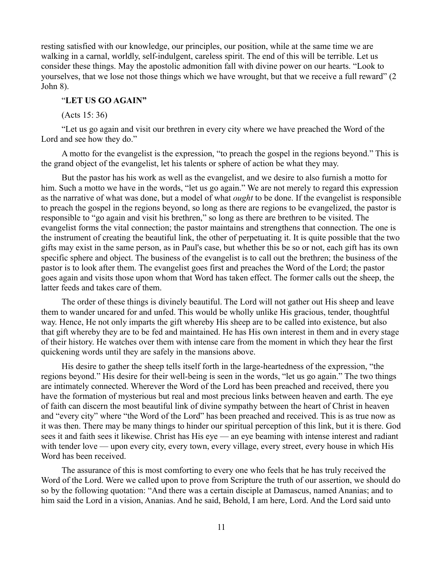resting satisfied with our knowledge, our principles, our position, while at the same time we are walking in a carnal, worldly, self-indulgent, careless spirit. The end of this will be terrible. Let us consider these things. May the apostolic admonition fall with divine power on our hearts. "Look to yourselves, that we lose not those things which we have wrought, but that we receive a full reward" (2 John 8).

## "**LET US GO AGAIN"**

(Acts 15: 36)

"Let us go again and visit our brethren in every city where we have preached the Word of the Lord and see how they do."

A motto for the evangelist is the expression, "to preach the gospel in the regions beyond." This is the grand object of the evangelist, let his talents or sphere of action be what they may.

But the pastor has his work as well as the evangelist, and we desire to also furnish a motto for him. Such a motto we have in the words, "let us go again." We are not merely to regard this expression as the narrative of what was done, but a model of what *ought* to be done. If the evangelist is responsible to preach the gospel in the regions beyond, so long as there are regions to be evangelized, the pastor is responsible to "go again and visit his brethren," so long as there are brethren to be visited. The evangelist forms the vital connection; the pastor maintains and strengthens that connection. The one is the instrument of creating the beautiful link, the other of perpetuating it. It is quite possible that the two gifts may exist in the same person, as in Paul's case, but whether this be so or not, each gift has its own specific sphere and object. The business of the evangelist is to call out the brethren; the business of the pastor is to look after them. The evangelist goes first and preaches the Word of the Lord; the pastor goes again and visits those upon whom that Word has taken effect. The former calls out the sheep, the latter feeds and takes care of them.

The order of these things is divinely beautiful. The Lord will not gather out His sheep and leave them to wander uncared for and unfed. This would be wholly unlike His gracious, tender, thoughtful way. Hence, He not only imparts the gift whereby His sheep are to be called into existence, but also that gift whereby they are to be fed and maintained. He has His own interest in them and in every stage of their history. He watches over them with intense care from the moment in which they hear the first quickening words until they are safely in the mansions above.

His desire to gather the sheep tells itself forth in the large-heartedness of the expression, "the regions beyond." His desire for their well-being is seen in the words, "let us go again." The two things are intimately connected. Wherever the Word of the Lord has been preached and received, there you have the formation of mysterious but real and most precious links between heaven and earth. The eye of faith can discern the most beautiful link of divine sympathy between the heart of Christ in heaven and "every city" where "the Word of the Lord" has been preached and received. This is as true now as it was then. There may be many things to hinder our spiritual perception of this link, but it is there. God sees it and faith sees it likewise. Christ has His eye — an eye beaming with intense interest and radiant with tender love — upon every city, every town, every village, every street, every house in which His Word has been received.

The assurance of this is most comforting to every one who feels that he has truly received the Word of the Lord. Were we called upon to prove from Scripture the truth of our assertion, we should do so by the following quotation: "And there was a certain disciple at Damascus, named Ananias; and to him said the Lord in a vision, Ananias. And he said, Behold, I am here, Lord. And the Lord said unto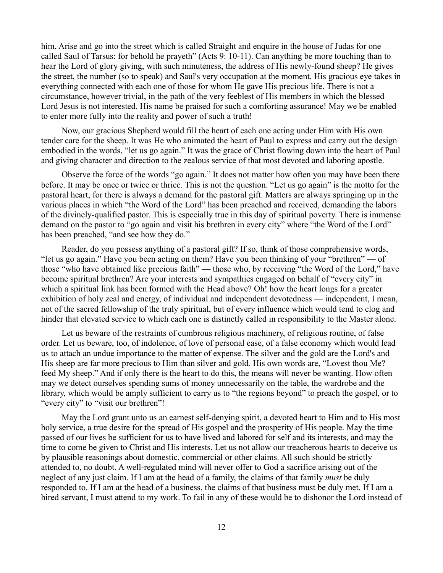him, Arise and go into the street which is called Straight and enquire in the house of Judas for one called Saul of Tarsus: for behold he prayeth" (Acts 9: 10-11). Can anything be more touching than to hear the Lord of glory giving, with such minuteness, the address of His newly-found sheep? He gives the street, the number (so to speak) and Saul's very occupation at the moment. His gracious eye takes in everything connected with each one of those for whom He gave His precious life. There is not a circumstance, however trivial, in the path of the very feeblest of His members in which the blessed Lord Jesus is not interested. His name be praised for such a comforting assurance! May we be enabled to enter more fully into the reality and power of such a truth!

Now, our gracious Shepherd would fill the heart of each one acting under Him with His own tender care for the sheep. It was He who animated the heart of Paul to express and carry out the design embodied in the words, "let us go again." It was the grace of Christ flowing down into the heart of Paul and giving character and direction to the zealous service of that most devoted and laboring apostle.

Observe the force of the words "go again." It does not matter how often you may have been there before. It may be once or twice or thrice. This is not the question. "Let us go again" is the motto for the pastoral heart, for there is always a demand for the pastoral gift. Matters are always springing up in the various places in which "the Word of the Lord" has been preached and received, demanding the labors of the divinely-qualified pastor. This is especially true in this day of spiritual poverty. There is immense demand on the pastor to "go again and visit his brethren in every city" where "the Word of the Lord" has been preached, "and see how they do."

Reader, do you possess anything of a pastoral gift? If so, think of those comprehensive words, "let us go again." Have you been acting on them? Have you been thinking of your "brethren" — of those "who have obtained like precious faith" — those who, by receiving "the Word of the Lord," have become spiritual brethren? Are your interests and sympathies engaged on behalf of "every city" in which a spiritual link has been formed with the Head above? Oh! how the heart longs for a greater exhibition of holy zeal and energy, of individual and independent devotedness — independent, I mean, not of the sacred fellowship of the truly spiritual, but of every influence which would tend to clog and hinder that elevated service to which each one is distinctly called in responsibility to the Master alone.

Let us beware of the restraints of cumbrous religious machinery, of religious routine, of false order. Let us beware, too, of indolence, of love of personal ease, of a false economy which would lead us to attach an undue importance to the matter of expense. The silver and the gold are the Lord's and His sheep are far more precious to Him than silver and gold. His own words are, "Lovest thou Me? feed My sheep." And if only there is the heart to do this, the means will never be wanting. How often may we detect ourselves spending sums of money unnecessarily on the table, the wardrobe and the library, which would be amply sufficient to carry us to "the regions beyond" to preach the gospel, or to "every city" to "visit our brethren"!

May the Lord grant unto us an earnest self-denying spirit, a devoted heart to Him and to His most holy service, a true desire for the spread of His gospel and the prosperity of His people. May the time passed of our lives be sufficient for us to have lived and labored for self and its interests, and may the time to come be given to Christ and His interests. Let us not allow our treacherous hearts to deceive us by plausible reasonings about domestic, commercial or other claims. All such should be strictly attended to, no doubt. A well-regulated mind will never offer to God a sacrifice arising out of the neglect of any just claim. If I am at the head of a family, the claims of that family *must* be duly responded to. If I am at the head of a business, the claims of that business must be duly met. If I am a hired servant, I must attend to my work. To fail in any of these would be to dishonor the Lord instead of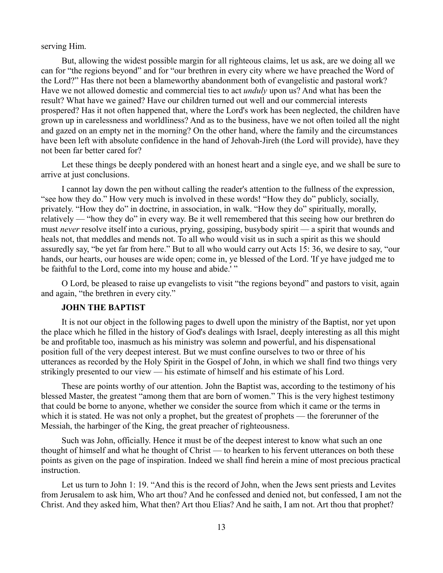serving Him.

But, allowing the widest possible margin for all righteous claims, let us ask, are we doing all we can for "the regions beyond" and for "our brethren in every city where we have preached the Word of the Lord?" Has there not been a blameworthy abandonment both of evangelistic and pastoral work? Have we not allowed domestic and commercial ties to act *unduly* upon us? And what has been the result? What have we gained? Have our children turned out well and our commercial interests prospered? Has it not often happened that, where the Lord's work has been neglected, the children have grown up in carelessness and worldliness? And as to the business, have we not often toiled all the night and gazed on an empty net in the morning? On the other hand, where the family and the circumstances have been left with absolute confidence in the hand of Jehovah-Jireh (the Lord will provide), have they not been far better cared for?

Let these things be deeply pondered with an honest heart and a single eye, and we shall be sure to arrive at just conclusions.

I cannot lay down the pen without calling the reader's attention to the fullness of the expression, "see how they do." How very much is involved in these words! "How they do" publicly, socially, privately. "How they do" in doctrine, in association, in walk. "How they do" spiritually, morally, relatively — "how they do" in every way. Be it well remembered that this seeing how our brethren do must *never* resolve itself into a curious, prying, gossiping, busybody spirit — a spirit that wounds and heals not, that meddles and mends not. To all who would visit us in such a spirit as this we should assuredly say, "be yet far from here." But to all who would carry out Acts 15: 36, we desire to say, "our hands, our hearts, our houses are wide open; come in, ye blessed of the Lord. 'If ye have judged me to be faithful to the Lord, come into my house and abide.'"

O Lord, be pleased to raise up evangelists to visit "the regions beyond" and pastors to visit, again and again, "the brethren in every city."

#### **JOHN THE BAPTIST**

It is not our object in the following pages to dwell upon the ministry of the Baptist, nor yet upon the place which he filled in the history of God's dealings with Israel, deeply interesting as all this might be and profitable too, inasmuch as his ministry was solemn and powerful, and his dispensational position full of the very deepest interest. But we must confine ourselves to two or three of his utterances as recorded by the Holy Spirit in the Gospel of John, in which we shall find two things very strikingly presented to our view — his estimate of himself and his estimate of his Lord.

These are points worthy of our attention. John the Baptist was, according to the testimony of his blessed Master, the greatest "among them that are born of women." This is the very highest testimony that could be borne to anyone, whether we consider the source from which it came or the terms in which it is stated. He was not only a prophet, but the greatest of prophets — the forerunner of the Messiah, the harbinger of the King, the great preacher of righteousness.

Such was John, officially. Hence it must be of the deepest interest to know what such an one thought of himself and what he thought of Christ — to hearken to his fervent utterances on both these points as given on the page of inspiration. Indeed we shall find herein a mine of most precious practical instruction.

Let us turn to John 1: 19. "And this is the record of John, when the Jews sent priests and Levites from Jerusalem to ask him, Who art thou? And he confessed and denied not, but confessed, I am not the Christ. And they asked him, What then? Art thou Elias? And he saith, I am not. Art thou that prophet?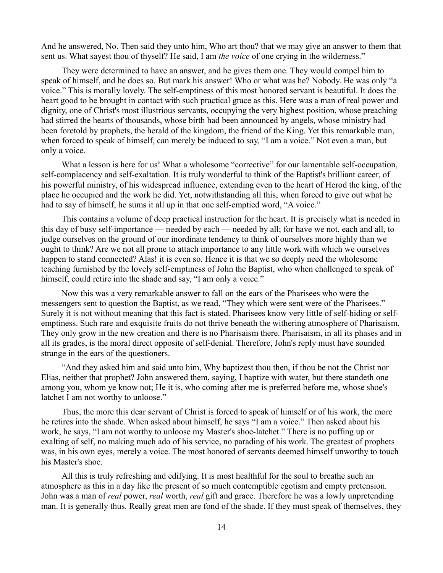And he answered, No. Then said they unto him, Who art thou? that we may give an answer to them that sent us. What sayest thou of thyself? He said, I am *the voice* of one crying in the wilderness."

They were determined to have an answer, and he gives them one. They would compel him to speak of himself, and he does so. But mark his answer! Who or what was he? Nobody. He was only "a voice." This is morally lovely. The self-emptiness of this most honored servant is beautiful. It does the heart good to be brought in contact with such practical grace as this. Here was a man of real power and dignity, one of Christ's most illustrious servants, occupying the very highest position, whose preaching had stirred the hearts of thousands, whose birth had been announced by angels, whose ministry had been foretold by prophets, the herald of the kingdom, the friend of the King. Yet this remarkable man, when forced to speak of himself, can merely be induced to say, "I am a voice." Not even a man, but only a voice.

What a lesson is here for us! What a wholesome "corrective" for our lamentable self-occupation, self-complacency and self-exaltation. It is truly wonderful to think of the Baptist's brilliant career, of his powerful ministry, of his widespread influence, extending even to the heart of Herod the king, of the place he occupied and the work he did. Yet, notwithstanding all this, when forced to give out what he had to say of himself, he sums it all up in that one self-emptied word, "A voice."

This contains a volume of deep practical instruction for the heart. It is precisely what is needed in this day of busy self-importance — needed by each — needed by all; for have we not, each and all, to judge ourselves on the ground of our inordinate tendency to think of ourselves more highly than we ought to think? Are we not all prone to attach importance to any little work with which we ourselves happen to stand connected? Alas! it is even so. Hence it is that we so deeply need the wholesome teaching furnished by the lovely self-emptiness of John the Baptist, who when challenged to speak of himself, could retire into the shade and say, "I am only a voice."

Now this was a very remarkable answer to fall on the ears of the Pharisees who were the messengers sent to question the Baptist, as we read, "They which were sent were of the Pharisees." Surely it is not without meaning that this fact is stated. Pharisees know very little of self-hiding or selfemptiness. Such rare and exquisite fruits do not thrive beneath the withering atmosphere of Pharisaism. They only grow in the new creation and there is no Pharisaism there. Pharisaism, in all its phases and in all its grades, is the moral direct opposite of self-denial. Therefore, John's reply must have sounded strange in the ears of the questioners.

"And they asked him and said unto him, Why baptizest thou then, if thou be not the Christ nor Elias, neither that prophet? John answered them, saying, I baptize with water, but there standeth one among you, whom ye know not; He it is, who coming after me is preferred before me, whose shoe's latchet I am not worthy to unloose."

Thus, the more this dear servant of Christ is forced to speak of himself or of his work, the more he retires into the shade. When asked about himself, he says "I am a voice." Then asked about his work, he says, "I am not worthy to unloose my Master's shoe-latchet." There is no puffing up or exalting of self, no making much ado of his service, no parading of his work. The greatest of prophets was, in his own eyes, merely a voice. The most honored of servants deemed himself unworthy to touch his Master's shoe.

All this is truly refreshing and edifying. It is most healthful for the soul to breathe such an atmosphere as this in a day like the present of so much contemptible egotism and empty pretension. John was a man of *real* power, *real* worth, *real* gift and grace. Therefore he was a lowly unpretending man. It is generally thus. Really great men are fond of the shade. If they must speak of themselves, they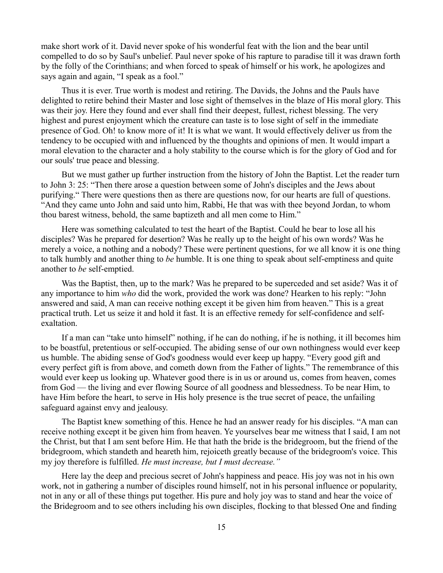make short work of it. David never spoke of his wonderful feat with the lion and the bear until compelled to do so by Saul's unbelief. Paul never spoke of his rapture to paradise till it was drawn forth by the folly of the Corinthians; and when forced to speak of himself or his work, he apologizes and says again and again, "I speak as a fool."

Thus it is ever. True worth is modest and retiring. The Davids, the Johns and the Pauls have delighted to retire behind their Master and lose sight of themselves in the blaze of His moral glory. This was their joy. Here they found and ever shall find their deepest, fullest, richest blessing. The very highest and purest enjoyment which the creature can taste is to lose sight of self in the immediate presence of God. Oh! to know more of it! It is what we want. It would effectively deliver us from the tendency to be occupied with and influenced by the thoughts and opinions of men. It would impart a moral elevation to the character and a holy stability to the course which is for the glory of God and for our souls' true peace and blessing.

But we must gather up further instruction from the history of John the Baptist. Let the reader turn to John 3: 25: "Then there arose a question between some of John's disciples and the Jews about purifying." There were questions then as there are questions now, for our hearts are full of questions. "And they came unto John and said unto him, Rabbi, He that was with thee beyond Jordan, to whom thou barest witness, behold, the same baptizeth and all men come to Him."

Here was something calculated to test the heart of the Baptist. Could he bear to lose all his disciples? Was he prepared for desertion? Was he really up to the height of his own words? Was he merely a voice, a nothing and a nobody? These were pertinent questions, for we all know it is one thing to talk humbly and another thing to *be* humble. It is one thing to speak about self-emptiness and quite another to *be* self-emptied.

Was the Baptist, then, up to the mark? Was he prepared to be superceded and set aside? Was it of any importance to him *who* did the work, provided the work was done? Hearken to his reply: "John answered and said, A man can receive nothing except it be given him from heaven." This is a great practical truth. Let us seize it and hold it fast. It is an effective remedy for self-confidence and selfexaltation.

If a man can "take unto himself" nothing, if he can do nothing, if he is nothing, it ill becomes him to be boastful, pretentious or self-occupied. The abiding sense of our own nothingness would ever keep us humble. The abiding sense of God's goodness would ever keep up happy. "Every good gift and every perfect gift is from above, and cometh down from the Father of lights." The remembrance of this would ever keep us looking up. Whatever good there is in us or around us, comes from heaven, comes from God — the living and ever flowing Source of all goodness and blessedness. To be near Him, to have Him before the heart, to serve in His holy presence is the true secret of peace, the unfailing safeguard against envy and jealousy.

The Baptist knew something of this. Hence he had an answer ready for his disciples. "A man can receive nothing except it be given him from heaven. Ye yourselves bear me witness that I said, I am not the Christ, but that I am sent before Him. He that hath the bride is the bridegroom, but the friend of the bridegroom, which standeth and heareth him, rejoiceth greatly because of the bridegroom's voice. This my joy therefore is fulfilled. *He must increase, but I must decrease."*

Here lay the deep and precious secret of John's happiness and peace. His joy was not in his own work, not in gathering a number of disciples round himself, not in his personal influence or popularity, not in any or all of these things put together. His pure and holy joy was to stand and hear the voice of the Bridegroom and to see others including his own disciples, flocking to that blessed One and finding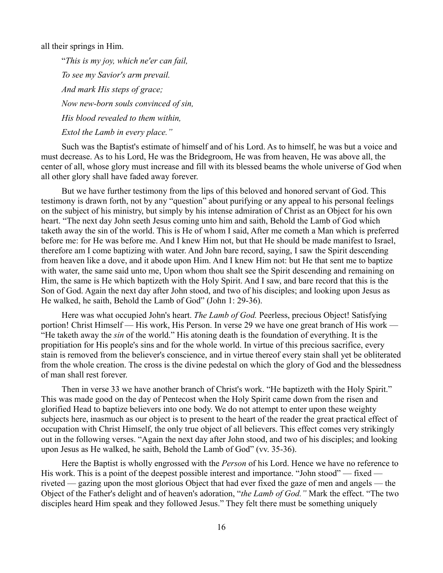all their springs in Him.

"*This is my joy, which ne'er can fail, To see my Savior's arm prevail. And mark His steps of grace; Now new-born souls convinced of sin, His blood revealed to them within, Extol the Lamb in every place."*

Such was the Baptist's estimate of himself and of his Lord. As to himself, he was but a voice and must decrease. As to his Lord, He was the Bridegroom, He was from heaven, He was above all, the center of all, whose glory must increase and fill with its blessed beams the whole universe of God when all other glory shall have faded away forever.

But we have further testimony from the lips of this beloved and honored servant of God. This testimony is drawn forth, not by any "question" about purifying or any appeal to his personal feelings on the subject of his ministry, but simply by his intense admiration of Christ as an Object for his own heart. "The next day John seeth Jesus coming unto him and saith, Behold the Lamb of God which taketh away the sin of the world. This is He of whom I said, After me cometh a Man which is preferred before me: for He was before me. And I knew Him not, but that He should be made manifest to Israel, therefore am I come baptizing with water. And John bare record, saying, I saw the Spirit descending from heaven like a dove, and it abode upon Him. And I knew Him not: but He that sent me to baptize with water, the same said unto me, Upon whom thou shalt see the Spirit descending and remaining on Him, the same is He which baptizeth with the Holy Spirit. And I saw, and bare record that this is the Son of God. Again the next day after John stood, and two of his disciples; and looking upon Jesus as He walked, he saith, Behold the Lamb of God" (John 1: 29-36).

Here was what occupied John's heart. *The Lamb of God.* Peerless, precious Object! Satisfying portion! Christ Himself — His work, His Person. In verse 29 we have one great branch of His work — "He taketh away the *sin* of the world." His atoning death is the foundation of everything. It is the propitiation for His people's sins and for the whole world. In virtue of this precious sacrifice, every stain is removed from the believer's conscience, and in virtue thereof every stain shall yet be obliterated from the whole creation. The cross is the divine pedestal on which the glory of God and the blessedness of man shall rest forever.

Then in verse 33 we have another branch of Christ's work. "He baptizeth with the Holy Spirit." This was made good on the day of Pentecost when the Holy Spirit came down from the risen and glorified Head to baptize believers into one body. We do not attempt to enter upon these weighty subjects here, inasmuch as our object is to present to the heart of the reader the great practical effect of occupation with Christ Himself, the only true object of all believers. This effect comes very strikingly out in the following verses. "Again the next day after John stood, and two of his disciples; and looking upon Jesus as He walked, he saith, Behold the Lamb of God" (vv. 35-36).

Here the Baptist is wholly engrossed with the *Person* of his Lord. Hence we have no reference to His work. This is a point of the deepest possible interest and importance. "John stood" — fixed riveted — gazing upon the most glorious Object that had ever fixed the gaze of men and angels — the Object of the Father's delight and of heaven's adoration, "*the Lamb of God."* Mark the effect. "The two disciples heard Him speak and they followed Jesus." They felt there must be something uniquely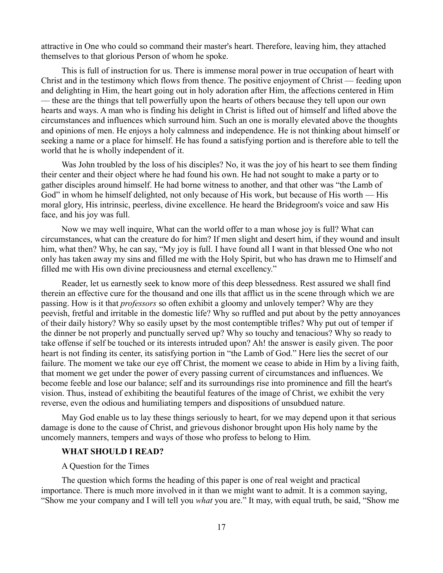attractive in One who could so command their master's heart. Therefore, leaving him, they attached themselves to that glorious Person of whom he spoke.

This is full of instruction for us. There is immense moral power in true occupation of heart with Christ and in the testimony which flows from thence. The positive enjoyment of Christ — feeding upon and delighting in Him, the heart going out in holy adoration after Him, the affections centered in Him — these are the things that tell powerfully upon the hearts of others because they tell upon our own hearts and ways. A man who is finding his delight in Christ is lifted out of himself and lifted above the circumstances and influences which surround him. Such an one is morally elevated above the thoughts and opinions of men. He enjoys a holy calmness and independence. He is not thinking about himself or seeking a name or a place for himself. He has found a satisfying portion and is therefore able to tell the world that he is wholly independent of it.

Was John troubled by the loss of his disciples? No, it was the joy of his heart to see them finding their center and their object where he had found his own. He had not sought to make a party or to gather disciples around himself. He had borne witness to another, and that other was "the Lamb of God" in whom he himself delighted, not only because of His work, but because of His worth — His moral glory, His intrinsic, peerless, divine excellence. He heard the Bridegroom's voice and saw His face, and his joy was full.

Now we may well inquire, What can the world offer to a man whose joy is full? What can circumstances, what can the creature do for him? If men slight and desert him, if they wound and insult him, what then? Why, he can say, "My joy is full. I have found all I want in that blessed One who not only has taken away my sins and filled me with the Holy Spirit, but who has drawn me to Himself and filled me with His own divine preciousness and eternal excellency."

Reader, let us earnestly seek to know more of this deep blessedness. Rest assured we shall find therein an effective cure for the thousand and one ills that afflict us in the scene through which we are passing. How is it that *professors* so often exhibit a gloomy and unlovely temper? Why are they peevish, fretful and irritable in the domestic life? Why so ruffled and put about by the petty annoyances of their daily history? Why so easily upset by the most contemptible trifles? Why put out of temper if the dinner be not properly and punctually served up? Why so touchy and tenacious? Why so ready to take offense if self be touched or its interests intruded upon? Ah! the answer is easily given. The poor heart is not finding its center, its satisfying portion in "the Lamb of God." Here lies the secret of our failure. The moment we take our eye off Christ, the moment we cease to abide in Him by a living faith, that moment we get under the power of every passing current of circumstances and influences. We become feeble and lose our balance; self and its surroundings rise into prominence and fill the heart's vision. Thus, instead of exhibiting the beautiful features of the image of Christ, we exhibit the very reverse, even the odious and humiliating tempers and dispositions of unsubdued nature.

May God enable us to lay these things seriously to heart, for we may depend upon it that serious damage is done to the cause of Christ, and grievous dishonor brought upon His holy name by the uncomely manners, tempers and ways of those who profess to belong to Him.

### **WHAT SHOULD I READ?**

#### A Question for the Times

The question which forms the heading of this paper is one of real weight and practical importance. There is much more involved in it than we might want to admit. It is a common saying, "Show me your company and I will tell you *what* you are." It may, with equal truth, be said, "Show me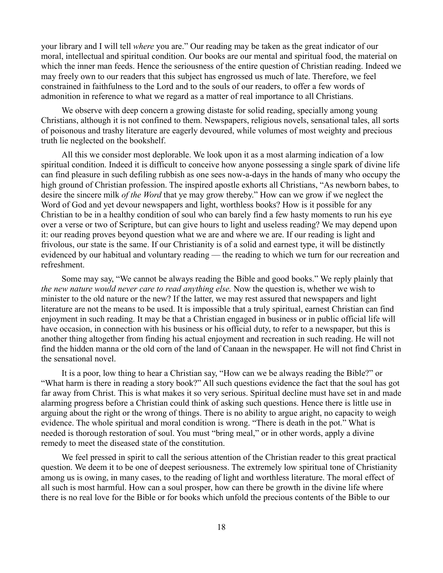your library and I will tell *where* you are." Our reading may be taken as the great indicator of our moral, intellectual and spiritual condition. Our books are our mental and spiritual food, the material on which the inner man feeds. Hence the seriousness of the entire question of Christian reading. Indeed we may freely own to our readers that this subject has engrossed us much of late. Therefore, we feel constrained in faithfulness to the Lord and to the souls of our readers, to offer a few words of admonition in reference to what we regard as a matter of real importance to all Christians.

We observe with deep concern a growing distaste for solid reading, specially among young Christians, although it is not confined to them. Newspapers, religious novels, sensational tales, all sorts of poisonous and trashy literature are eagerly devoured, while volumes of most weighty and precious truth lie neglected on the bookshelf.

All this we consider most deplorable. We look upon it as a most alarming indication of a low spiritual condition. Indeed it is difficult to conceive how anyone possessing a single spark of divine life can find pleasure in such defiling rubbish as one sees now-a-days in the hands of many who occupy the high ground of Christian profession. The inspired apostle exhorts all Christians, "As newborn babes, to desire the sincere milk *of the Word* that ye may grow thereby." How can we grow if we neglect the Word of God and yet devour newspapers and light, worthless books? How is it possible for any Christian to be in a healthy condition of soul who can barely find a few hasty moments to run his eye over a verse or two of Scripture, but can give hours to light and useless reading? We may depend upon it: our reading proves beyond question what we are and where we are. If our reading is light and frivolous, our state is the same. If our Christianity is of a solid and earnest type, it will be distinctly evidenced by our habitual and voluntary reading — the reading to which we turn for our recreation and refreshment.

Some may say, "We cannot be always reading the Bible and good books." We reply plainly that *the new nature would never care to read anything else.* Now the question is, whether we wish to minister to the old nature or the new? If the latter, we may rest assured that newspapers and light literature are not the means to be used. It is impossible that a truly spiritual, earnest Christian can find enjoyment in such reading. It may be that a Christian engaged in business or in public official life will have occasion, in connection with his business or his official duty, to refer to a newspaper, but this is another thing altogether from finding his actual enjoyment and recreation in such reading. He will not find the hidden manna or the old corn of the land of Canaan in the newspaper. He will not find Christ in the sensational novel.

It is a poor, low thing to hear a Christian say, "How can we be always reading the Bible?" or "What harm is there in reading a story book?" All such questions evidence the fact that the soul has got far away from Christ. This is what makes it so very serious. Spiritual decline must have set in and made alarming progress before a Christian could think of asking such questions. Hence there is little use in arguing about the right or the wrong of things. There is no ability to argue aright, no capacity to weigh evidence. The whole spiritual and moral condition is wrong. "There is death in the pot." What is needed is thorough restoration of soul. You must "bring meal," or in other words, apply a divine remedy to meet the diseased state of the constitution.

We feel pressed in spirit to call the serious attention of the Christian reader to this great practical question. We deem it to be one of deepest seriousness. The extremely low spiritual tone of Christianity among us is owing, in many cases, to the reading of light and worthless literature. The moral effect of all such is most harmful. How can a soul prosper, how can there be growth in the divine life where there is no real love for the Bible or for books which unfold the precious contents of the Bible to our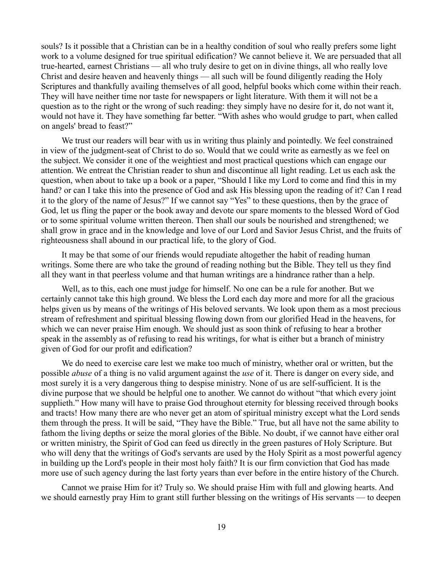souls? Is it possible that a Christian can be in a healthy condition of soul who really prefers some light work to a volume designed for true spiritual edification? We cannot believe it. We are persuaded that all true-hearted, earnest Christians — all who truly desire to get on in divine things, all who really love Christ and desire heaven and heavenly things — all such will be found diligently reading the Holy Scriptures and thankfully availing themselves of all good, helpful books which come within their reach. They will have neither time nor taste for newspapers or light literature. With them it will not be a question as to the right or the wrong of such reading: they simply have no desire for it, do not want it, would not have it. They have something far better. "With ashes who would grudge to part, when called on angels' bread to feast?"

We trust our readers will bear with us in writing thus plainly and pointedly. We feel constrained in view of the judgment-seat of Christ to do so. Would that we could write as earnestly as we feel on the subject. We consider it one of the weightiest and most practical questions which can engage our attention. We entreat the Christian reader to shun and discontinue all light reading. Let us each ask the question, when about to take up a book or a paper, "Should I like my Lord to come and find this in my hand? or can I take this into the presence of God and ask His blessing upon the reading of it? Can I read it to the glory of the name of Jesus?" If we cannot say "Yes" to these questions, then by the grace of God, let us fling the paper or the book away and devote our spare moments to the blessed Word of God or to some spiritual volume written thereon. Then shall our souls be nourished and strengthened; we shall grow in grace and in the knowledge and love of our Lord and Savior Jesus Christ, and the fruits of righteousness shall abound in our practical life, to the glory of God.

It may be that some of our friends would repudiate altogether the habit of reading human writings. Some there are who take the ground of reading nothing but the Bible. They tell us they find all they want in that peerless volume and that human writings are a hindrance rather than a help.

Well, as to this, each one must judge for himself. No one can be a rule for another. But we certainly cannot take this high ground. We bless the Lord each day more and more for all the gracious helps given us by means of the writings of His beloved servants. We look upon them as a most precious stream of refreshment and spiritual blessing flowing down from our glorified Head in the heavens, for which we can never praise Him enough. We should just as soon think of refusing to hear a brother speak in the assembly as of refusing to read his writings, for what is either but a branch of ministry given of God for our profit and edification?

We do need to exercise care lest we make too much of ministry, whether oral or written, but the possible *abuse* of a thing is no valid argument against the *use* of it. There is danger on every side, and most surely it is a very dangerous thing to despise ministry. None of us are self-sufficient. It is the divine purpose that we should be helpful one to another. We cannot do without "that which every joint supplieth." How many will have to praise God throughout eternity for blessing received through books and tracts! How many there are who never get an atom of spiritual ministry except what the Lord sends them through the press. It will be said, "They have the Bible." True, but all have not the same ability to fathom the living depths or seize the moral glories of the Bible. No doubt, if we cannot have either oral or written ministry, the Spirit of God can feed us directly in the green pastures of Holy Scripture. But who will deny that the writings of God's servants are used by the Holy Spirit as a most powerful agency in building up the Lord's people in their most holy faith? It is our firm conviction that God has made more use of such agency during the last forty years than ever before in the entire history of the Church.

Cannot we praise Him for it? Truly so. We should praise Him with full and glowing hearts. And we should earnestly pray Him to grant still further blessing on the writings of His servants — to deepen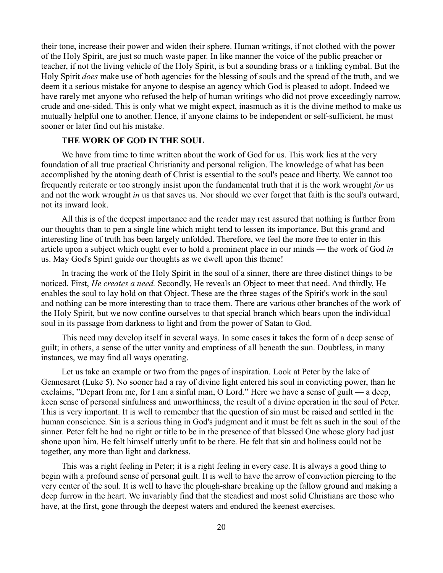their tone, increase their power and widen their sphere. Human writings, if not clothed with the power of the Holy Spirit, are just so much waste paper. In like manner the voice of the public preacher or teacher, if not the living vehicle of the Holy Spirit, is but a sounding brass or a tinkling cymbal. But the Holy Spirit *does* make use of both agencies for the blessing of souls and the spread of the truth, and we deem it a serious mistake for anyone to despise an agency which God is pleased to adopt. Indeed we have rarely met anyone who refused the help of human writings who did not prove exceedingly narrow, crude and one-sided. This is only what we might expect, inasmuch as it is the divine method to make us mutually helpful one to another. Hence, if anyone claims to be independent or self-sufficient, he must sooner or later find out his mistake.

## **THE WORK OF GOD IN THE SOUL**

We have from time to time written about the work of God for us. This work lies at the very foundation of all true practical Christianity and personal religion. The knowledge of what has been accomplished by the atoning death of Christ is essential to the soul's peace and liberty. We cannot too frequently reiterate or too strongly insist upon the fundamental truth that it is the work wrought *for* us and not the work wrought *in* us that saves us. Nor should we ever forget that faith is the soul's outward, not its inward look.

All this is of the deepest importance and the reader may rest assured that nothing is further from our thoughts than to pen a single line which might tend to lessen its importance. But this grand and interesting line of truth has been largely unfolded. Therefore, we feel the more free to enter in this article upon a subject which ought ever to hold a prominent place in our minds — the work of God *in* us. May God's Spirit guide our thoughts as we dwell upon this theme!

In tracing the work of the Holy Spirit in the soul of a sinner, there are three distinct things to be noticed. First, *He creates a need.* Secondly, He reveals an Object to meet that need. And thirdly, He enables the soul to lay hold on that Object. These are the three stages of the Spirit's work in the soul and nothing can be more interesting than to trace them. There are various other branches of the work of the Holy Spirit, but we now confine ourselves to that special branch which bears upon the individual soul in its passage from darkness to light and from the power of Satan to God.

This need may develop itself in several ways. In some cases it takes the form of a deep sense of guilt; in others, a sense of the utter vanity and emptiness of all beneath the sun. Doubtless, in many instances, we may find all ways operating.

Let us take an example or two from the pages of inspiration. Look at Peter by the lake of Gennesaret (Luke 5). No sooner had a ray of divine light entered his soul in convicting power, than he exclaims, "Depart from me, for I am a sinful man, O Lord." Here we have a sense of guilt — a deep, keen sense of personal sinfulness and unworthiness, the result of a divine operation in the soul of Peter. This is very important. It is well to remember that the question of sin must be raised and settled in the human conscience. Sin is a serious thing in God's judgment and it must be felt as such in the soul of the sinner. Peter felt he had no right or title to be in the presence of that blessed One whose glory had just shone upon him. He felt himself utterly unfit to be there. He felt that sin and holiness could not be together, any more than light and darkness.

This was a right feeling in Peter; it is a right feeling in every case. It is always a good thing to begin with a profound sense of personal guilt. It is well to have the arrow of conviction piercing to the very center of the soul. It is well to have the plough-share breaking up the fallow ground and making a deep furrow in the heart. We invariably find that the steadiest and most solid Christians are those who have, at the first, gone through the deepest waters and endured the keenest exercises.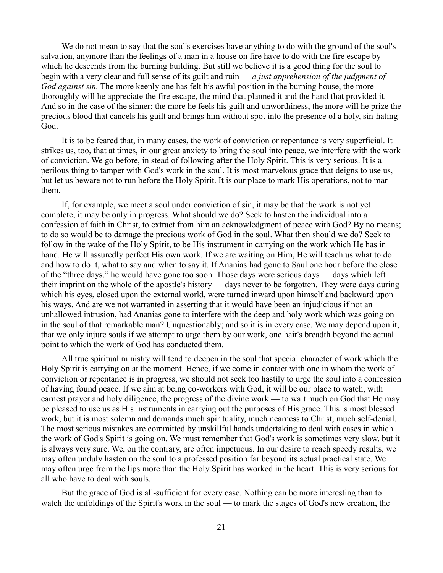We do not mean to say that the soul's exercises have anything to do with the ground of the soul's salvation, anymore than the feelings of a man in a house on fire have to do with the fire escape by which he descends from the burning building. But still we believe it is a good thing for the soul to begin with a very clear and full sense of its guilt and ruin — *a just apprehension of the judgment of God against sin.* The more keenly one has felt his awful position in the burning house, the more thoroughly will he appreciate the fire escape, the mind that planned it and the hand that provided it. And so in the case of the sinner; the more he feels his guilt and unworthiness, the more will he prize the precious blood that cancels his guilt and brings him without spot into the presence of a holy, sin-hating God.

It is to be feared that, in many cases, the work of conviction or repentance is very superficial. It strikes us, too, that at times, in our great anxiety to bring the soul into peace, we interfere with the work of conviction. We go before, in stead of following after the Holy Spirit. This is very serious. It is a perilous thing to tamper with God's work in the soul. It is most marvelous grace that deigns to use us, but let us beware not to run before the Holy Spirit. It is our place to mark His operations, not to mar them.

If, for example, we meet a soul under conviction of sin, it may be that the work is not yet complete; it may be only in progress. What should we do? Seek to hasten the individual into a confession of faith in Christ, to extract from him an acknowledgment of peace with God? By no means; to do so would be to damage the precious work of God in the soul. What then should we do? Seek to follow in the wake of the Holy Spirit, to be His instrument in carrying on the work which He has in hand. He will assuredly perfect His own work. If we are waiting on Him, He will teach us what to do and how to do it, what to say and when to say it. If Ananias had gone to Saul one hour before the close of the "three days," he would have gone too soon. Those days were serious days — days which left their imprint on the whole of the apostle's history — days never to be forgotten. They were days during which his eyes, closed upon the external world, were turned inward upon himself and backward upon his ways. And are we not warranted in asserting that it would have been an injudicious if not an unhallowed intrusion, had Ananias gone to interfere with the deep and holy work which was going on in the soul of that remarkable man? Unquestionably; and so it is in every case. We may depend upon it, that we only injure souls if we attempt to urge them by our work, one hair's breadth beyond the actual point to which the work of God has conducted them.

All true spiritual ministry will tend to deepen in the soul that special character of work which the Holy Spirit is carrying on at the moment. Hence, if we come in contact with one in whom the work of conviction or repentance is in progress, we should not seek too hastily to urge the soul into a confession of having found peace. If we aim at being co-workers with God, it will be our place to watch, with earnest prayer and holy diligence, the progress of the divine work — to wait much on God that He may be pleased to use us as His instruments in carrying out the purposes of His grace. This is most blessed work, but it is most solemn and demands much spirituality, much nearness to Christ, much self-denial. The most serious mistakes are committed by unskillful hands undertaking to deal with cases in which the work of God's Spirit is going on. We must remember that God's work is sometimes very slow, but it is always very sure. We, on the contrary, are often impetuous. In our desire to reach speedy results, we may often unduly hasten on the soul to a professed position far beyond its actual practical state. We may often urge from the lips more than the Holy Spirit has worked in the heart. This is very serious for all who have to deal with souls.

But the grace of God is all-sufficient for every case. Nothing can be more interesting than to watch the unfoldings of the Spirit's work in the soul — to mark the stages of God's new creation, the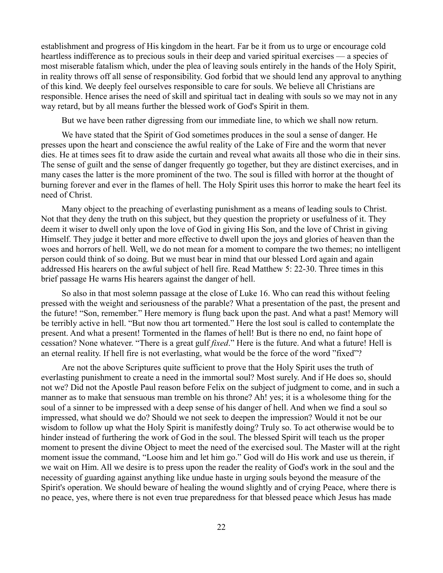establishment and progress of His kingdom in the heart. Far be it from us to urge or encourage cold heartless indifference as to precious souls in their deep and varied spiritual exercises — a species of most miserable fatalism which, under the plea of leaving souls entirely in the hands of the Holy Spirit, in reality throws off all sense of responsibility. God forbid that we should lend any approval to anything of this kind. We deeply feel ourselves responsible to care for souls. We believe all Christians are responsible. Hence arises the need of skill and spiritual tact in dealing with souls so we may not in any way retard, but by all means further the blessed work of God's Spirit in them.

But we have been rather digressing from our immediate line, to which we shall now return.

We have stated that the Spirit of God sometimes produces in the soul a sense of danger. He presses upon the heart and conscience the awful reality of the Lake of Fire and the worm that never dies. He at times sees fit to draw aside the curtain and reveal what awaits all those who die in their sins. The sense of guilt and the sense of danger frequently go together, but they are distinct exercises, and in many cases the latter is the more prominent of the two. The soul is filled with horror at the thought of burning forever and ever in the flames of hell. The Holy Spirit uses this horror to make the heart feel its need of Christ.

Many object to the preaching of everlasting punishment as a means of leading souls to Christ. Not that they deny the truth on this subject, but they question the propriety or usefulness of it. They deem it wiser to dwell only upon the love of God in giving His Son, and the love of Christ in giving Himself. They judge it better and more effective to dwell upon the joys and glories of heaven than the woes and horrors of hell. Well, we do not mean for a moment to compare the two themes; no intelligent person could think of so doing. But we must bear in mind that our blessed Lord again and again addressed His hearers on the awful subject of hell fire. Read Matthew 5: 22-30. Three times in this brief passage He warns His hearers against the danger of hell.

So also in that most solemn passage at the close of Luke 16. Who can read this without feeling pressed with the weight and seriousness of the parable? What a presentation of the past, the present and the future! "Son, remember." Here memory is flung back upon the past. And what a past! Memory will be terribly active in hell. "But now thou art tormented." Here the lost soul is called to contemplate the present. And what a present! Tormented in the flames of hell! But is there no end, no faint hope of cessation? None whatever. "There is a great gulf *fixed*." Here is the future. And what a future! Hell is an eternal reality. If hell fire is not everlasting, what would be the force of the word "fixed"?

Are not the above Scriptures quite sufficient to prove that the Holy Spirit uses the truth of everlasting punishment to create a need in the immortal soul? Most surely. And if He does so, should not we? Did not the Apostle Paul reason before Felix on the subject of judgment to come, and in such a manner as to make that sensuous man tremble on his throne? Ah! yes; it is a wholesome thing for the soul of a sinner to be impressed with a deep sense of his danger of hell. And when we find a soul so impressed, what should we do? Should we not seek to deepen the impression? Would it not be our wisdom to follow up what the Holy Spirit is manifestly doing? Truly so. To act otherwise would be to hinder instead of furthering the work of God in the soul. The blessed Spirit will teach us the proper moment to present the divine Object to meet the need of the exercised soul. The Master will at the right moment issue the command, "Loose him and let him go." God will do His work and use us therein, if we wait on Him. All we desire is to press upon the reader the reality of God's work in the soul and the necessity of guarding against anything like undue haste in urging souls beyond the measure of the Spirit's operation. We should beware of healing the wound slightly and of crying Peace, where there is no peace, yes, where there is not even true preparedness for that blessed peace which Jesus has made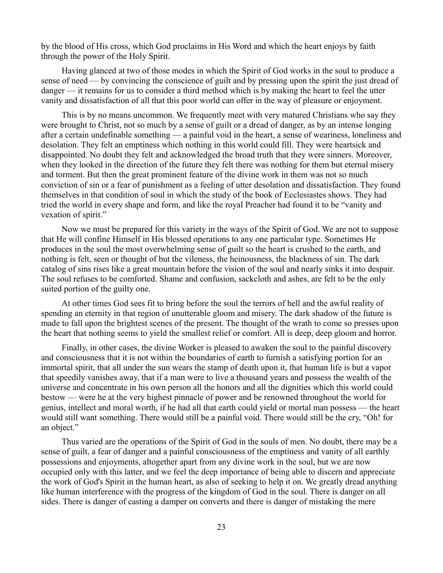by the blood of His cross, which God proclaims in His Word and which the heart enjoys by faith through the power of the Holy Spirit.

Having glanced at two of those modes in which the Spirit of God works in the soul to produce a sense of need — by convincing the conscience of guilt and by pressing upon the spirit the just dread of danger — it remains for us to consider a third method which is by making the heart to feel the utter vanity and dissatisfaction of all that this poor world can offer in the way of pleasure or enjoyment.

This is by no means uncommon. We frequently meet with very matured Christians who say they were brought to Christ, not so much by a sense of guilt or a dread of danger, as by an intense longing after a certain undefinable something — a painful void in the heart, a sense of weariness, loneliness and desolation. They felt an emptiness which nothing in this world could fill. They were heartsick and disappointed. No doubt they felt and acknowledged the broad truth that they were sinners. Moreover, when they looked in the direction of the future they felt there was nothing for them but eternal misery and torment. But then the great prominent feature of the divine work in them was not so much conviction of sin or a fear of punishment as a feeling of utter desolation and dissatisfaction. They found themselves in that condition of soul in which the study of the book of Ecclesiastes shows. They had tried the world in every shape and form, and like the royal Preacher had found it to be "vanity and vexation of spirit."

Now we must be prepared for this variety in the ways of the Spirit of God. We are not to suppose that He will confine Himself in His blessed operations to any one particular type. Sometimes He produces in the soul the most overwhelming sense of guilt so the heart is crushed to the earth, and nothing is felt, seen or thought of but the vileness, the heinousness, the blackness of sin. The dark catalog of sins rises like a great mountain before the vision of the soul and nearly sinks it into despair. The soul refuses to be comforted. Shame and confusion, sackcloth and ashes, are felt to be the only suited portion of the guilty one.

At other times God sees fit to bring before the soul the terrors of hell and the awful reality of spending an eternity in that region of unutterable gloom and misery. The dark shadow of the future is made to fall upon the brightest scenes of the present. The thought of the wrath to come so presses upon the heart that nothing seems to yield the smallest relief or comfort. All is deep, deep gloom and horror.

Finally, in other cases, the divine Worker is pleased to awaken the soul to the painful discovery and consciousness that it is not within the boundaries of earth to furnish a satisfying portion for an immortal spirit, that all under the sun wears the stamp of death upon it, that human life is but a vapor that speedily vanishes away, that if a man were to live a thousand years and possess the wealth of the universe and concentrate in his own person all the honors and all the dignities which this world could bestow — were he at the very highest pinnacle of power and be renowned throughout the world for genius, intellect and moral worth, if he had all that earth could yield or mortal man possess — the heart would still want something. There would still be a painful void. There would still be the cry, "Oh! for an object."

Thus varied are the operations of the Spirit of God in the souls of men. No doubt, there may be a sense of guilt, a fear of danger and a painful consciousness of the emptiness and vanity of all earthly possessions and enjoyments, altogether apart from any divine work in the soul, but we are now occupied only with this latter, and we feel the deep importance of being able to discern and appreciate the work of God's Spirit in the human heart, as also of seeking to help it on. We greatly dread anything like human interference with the progress of the kingdom of God in the soul. There is danger on all sides. There is danger of casting a damper on converts and there is danger of mistaking the mere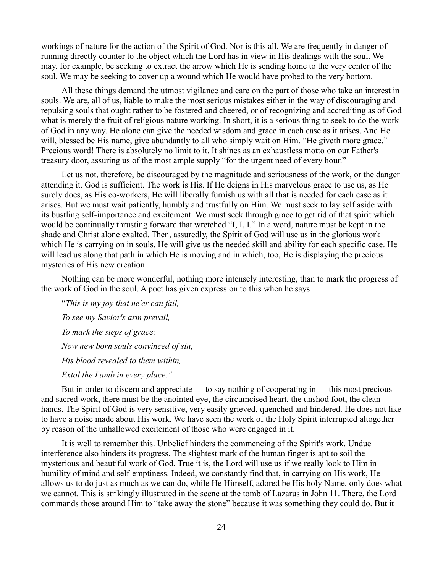workings of nature for the action of the Spirit of God. Nor is this all. We are frequently in danger of running directly counter to the object which the Lord has in view in His dealings with the soul. We may, for example, be seeking to extract the arrow which He is sending home to the very center of the soul. We may be seeking to cover up a wound which He would have probed to the very bottom.

All these things demand the utmost vigilance and care on the part of those who take an interest in souls. We are, all of us, liable to make the most serious mistakes either in the way of discouraging and repulsing souls that ought rather to be fostered and cheered, or of recognizing and accrediting as of God what is merely the fruit of religious nature working. In short, it is a serious thing to seek to do the work of God in any way. He alone can give the needed wisdom and grace in each case as it arises. And He will, blessed be His name, give abundantly to all who simply wait on Him. "He giveth more grace." Precious word! There is absolutely no limit to it. It shines as an exhaustless motto on our Father's treasury door, assuring us of the most ample supply "for the urgent need of every hour."

Let us not, therefore, be discouraged by the magnitude and seriousness of the work, or the danger attending it. God is sufficient. The work is His. If He deigns in His marvelous grace to use us, as He surely does, as His co-workers, He will liberally furnish us with all that is needed for each case as it arises. But we must wait patiently, humbly and trustfully on Him. We must seek to lay self aside with its bustling self-importance and excitement. We must seek through grace to get rid of that spirit which would be continually thrusting forward that wretched "I, I, I." In a word, nature must be kept in the shade and Christ alone exalted. Then, assuredly, the Spirit of God will use us in the glorious work which He is carrying on in souls. He will give us the needed skill and ability for each specific case. He will lead us along that path in which He is moving and in which, too, He is displaying the precious mysteries of His new creation.

Nothing can be more wonderful, nothing more intensely interesting, than to mark the progress of the work of God in the soul. A poet has given expression to this when he says

"*This is my joy that ne'er can fail, To see my Savior's arm prevail, To mark the steps of grace: Now new born souls convinced of sin, His blood revealed to them within, Extol the Lamb in every place."*

But in order to discern and appreciate — to say nothing of cooperating in — this most precious and sacred work, there must be the anointed eye, the circumcised heart, the unshod foot, the clean hands. The Spirit of God is very sensitive, very easily grieved, quenched and hindered. He does not like to have a noise made about His work. We have seen the work of the Holy Spirit interrupted altogether by reason of the unhallowed excitement of those who were engaged in it.

It is well to remember this. Unbelief hinders the commencing of the Spirit's work. Undue interference also hinders its progress. The slightest mark of the human finger is apt to soil the mysterious and beautiful work of God. True it is, the Lord will use us if we really look to Him in humility of mind and self-emptiness. Indeed, we constantly find that, in carrying on His work, He allows us to do just as much as we can do, while He Himself, adored be His holy Name, only does what we cannot. This is strikingly illustrated in the scene at the tomb of Lazarus in John 11. There, the Lord commands those around Him to "take away the stone" because it was something they could do. But it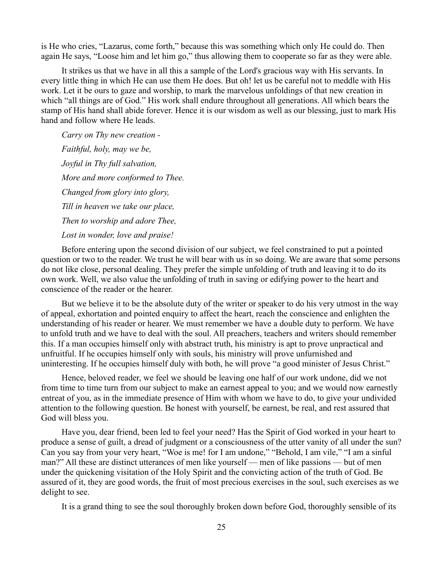is He who cries, "Lazarus, come forth," because this was something which only He could do. Then again He says, "Loose him and let him go," thus allowing them to cooperate so far as they were able.

It strikes us that we have in all this a sample of the Lord's gracious way with His servants. In every little thing in which He can use them He does. But oh! let us be careful not to meddle with His work. Let it be ours to gaze and worship, to mark the marvelous unfoldings of that new creation in which "all things are of God." His work shall endure throughout all generations. All which bears the stamp of His hand shall abide forever. Hence it is our wisdom as well as our blessing, just to mark His hand and follow where He leads.

*Carry on Thy new creation - Faithful, holy, may we be, Joyful in Thy full salvation, More and more conformed to Thee. Changed from glory into glory, Till in heaven we take our place, Then to worship and adore Thee, Lost in wonder, love and praise!*

Before entering upon the second division of our subject, we feel constrained to put a pointed question or two to the reader. We trust he will bear with us in so doing. We are aware that some persons do not like close, personal dealing. They prefer the simple unfolding of truth and leaving it to do its own work. Well, we also value the unfolding of truth in saving or edifying power to the heart and conscience of the reader or the hearer.

But we believe it to be the absolute duty of the writer or speaker to do his very utmost in the way of appeal, exhortation and pointed enquiry to affect the heart, reach the conscience and enlighten the understanding of his reader or hearer. We must remember we have a double duty to perform. We have to unfold truth and we have to deal with the soul. All preachers, teachers and writers should remember this. If a man occupies himself only with abstract truth, his ministry is apt to prove unpractical and unfruitful. If he occupies himself only with souls, his ministry will prove unfurnished and uninteresting. If he occupies himself duly with both, he will prove "a good minister of Jesus Christ."

Hence, beloved reader, we feel we should be leaving one half of our work undone, did we not from time to time turn from our subject to make an earnest appeal to you; and we would now earnestly entreat of you, as in the immediate presence of Him with whom we have to do, to give your undivided attention to the following question. Be honest with yourself, be earnest, be real, and rest assured that God will bless you.

Have you, dear friend, been led to feel your need? Has the Spirit of God worked in your heart to produce a sense of guilt, a dread of judgment or a consciousness of the utter vanity of all under the sun? Can you say from your very heart, "Woe is me! for I am undone," "Behold, I am vile," "I am a sinful man?" All these are distinct utterances of men like yourself — men of like passions — but of men under the quickening visitation of the Holy Spirit and the convicting action of the truth of God. Be assured of it, they are good words, the fruit of most precious exercises in the soul, such exercises as we delight to see.

It is a grand thing to see the soul thoroughly broken down before God, thoroughly sensible of its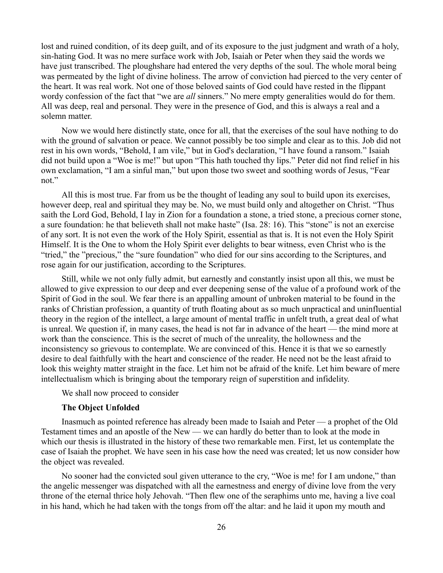lost and ruined condition, of its deep guilt, and of its exposure to the just judgment and wrath of a holy, sin-hating God. It was no mere surface work with Job, Isaiah or Peter when they said the words we have just transcribed. The ploughshare had entered the very depths of the soul. The whole moral being was permeated by the light of divine holiness. The arrow of conviction had pierced to the very center of the heart. It was real work. Not one of those beloved saints of God could have rested in the flippant wordy confession of the fact that "we are *all* sinners." No mere empty generalities would do for them. All was deep, real and personal. They were in the presence of God, and this is always a real and a solemn matter.

Now we would here distinctly state, once for all, that the exercises of the soul have nothing to do with the ground of salvation or peace. We cannot possibly be too simple and clear as to this. Job did not rest in his own words, "Behold, I am vile," but in God's declaration, "I have found a ransom." Isaiah did not build upon a "Woe is me!" but upon "This hath touched thy lips." Peter did not find relief in his own exclamation, "I am a sinful man," but upon those two sweet and soothing words of Jesus, "Fear not."

All this is most true. Far from us be the thought of leading any soul to build upon its exercises, however deep, real and spiritual they may be. No, we must build only and altogether on Christ. "Thus saith the Lord God, Behold, I lay in Zion for a foundation a stone, a tried stone, a precious corner stone, a sure foundation: he that believeth shall not make haste" (Isa. 28: 16). This "stone" is not an exercise of any sort. It is not even the work of the Holy Spirit, essential as that is. It is not even the Holy Spirit Himself. It is the One to whom the Holy Spirit ever delights to bear witness, even Christ who is the "tried," the "precious," the "sure foundation" who died for our sins according to the Scriptures, and rose again for our justification, according to the Scriptures.

Still, while we not only fully admit, but earnestly and constantly insist upon all this, we must be allowed to give expression to our deep and ever deepening sense of the value of a profound work of the Spirit of God in the soul. We fear there is an appalling amount of unbroken material to be found in the ranks of Christian profession, a quantity of truth floating about as so much unpractical and uninfluential theory in the region of the intellect, a large amount of mental traffic in unfelt truth, a great deal of what is unreal. We question if, in many cases, the head is not far in advance of the heart — the mind more at work than the conscience. This is the secret of much of the unreality, the hollowness and the inconsistency so grievous to contemplate. We are convinced of this. Hence it is that we so earnestly desire to deal faithfully with the heart and conscience of the reader. He need not be the least afraid to look this weighty matter straight in the face. Let him not be afraid of the knife. Let him beware of mere intellectualism which is bringing about the temporary reign of superstition and infidelity.

We shall now proceed to consider

#### **The Object Unfolded**

Inasmuch as pointed reference has already been made to Isaiah and Peter — a prophet of the Old Testament times and an apostle of the New — we can hardly do better than to look at the mode in which our thesis is illustrated in the history of these two remarkable men. First, let us contemplate the case of Isaiah the prophet. We have seen in his case how the need was created; let us now consider how the object was revealed.

No sooner had the convicted soul given utterance to the cry, "Woe is me! for I am undone," than the angelic messenger was dispatched with all the earnestness and energy of divine love from the very throne of the eternal thrice holy Jehovah. "Then flew one of the seraphims unto me, having a live coal in his hand, which he had taken with the tongs from off the altar: and he laid it upon my mouth and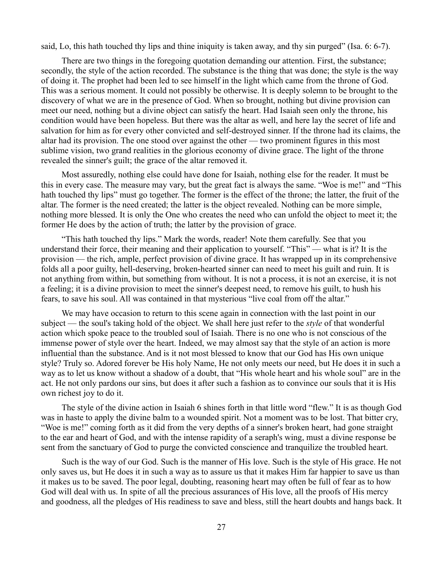said, Lo, this hath touched thy lips and thine iniquity is taken away, and thy sin purged" (Isa. 6: 6-7).

There are two things in the foregoing quotation demanding our attention. First, the substance; secondly, the style of the action recorded. The substance is the thing that was done; the style is the way of doing it. The prophet had been led to see himself in the light which came from the throne of God. This was a serious moment. It could not possibly be otherwise. It is deeply solemn to be brought to the discovery of what we are in the presence of God. When so brought, nothing but divine provision can meet our need, nothing but a divine object can satisfy the heart. Had Isaiah seen only the throne, his condition would have been hopeless. But there was the altar as well, and here lay the secret of life and salvation for him as for every other convicted and self-destroyed sinner. If the throne had its claims, the altar had its provision. The one stood over against the other — two prominent figures in this most sublime vision, two grand realities in the glorious economy of divine grace. The light of the throne revealed the sinner's guilt; the grace of the altar removed it.

Most assuredly, nothing else could have done for Isaiah, nothing else for the reader. It must be this in every case. The measure may vary, but the great fact is always the same. "Woe is me!" and "This hath touched thy lips" must go together. The former is the effect of the throne; the latter, the fruit of the altar. The former is the need created; the latter is the object revealed. Nothing can be more simple, nothing more blessed. It is only the One who creates the need who can unfold the object to meet it; the former He does by the action of truth; the latter by the provision of grace.

"This hath touched thy lips." Mark the words, reader! Note them carefully. See that you understand their force, their meaning and their application to yourself. "This" — what is it? It is the provision — the rich, ample, perfect provision of divine grace. It has wrapped up in its comprehensive folds all a poor guilty, hell-deserving, broken-hearted sinner can need to meet his guilt and ruin. It is not anything from within, but something from without. It is not a process, it is not an exercise, it is not a feeling; it is a divine provision to meet the sinner's deepest need, to remove his guilt, to hush his fears, to save his soul. All was contained in that mysterious "live coal from off the altar."

We may have occasion to return to this scene again in connection with the last point in our subject — the soul's taking hold of the object. We shall here just refer to the *style* of that wonderful action which spoke peace to the troubled soul of Isaiah. There is no one who is not conscious of the immense power of style over the heart. Indeed, we may almost say that the style of an action is more influential than the substance. And is it not most blessed to know that our God has His own unique style? Truly so. Adored forever be His holy Name, He not only meets our need, but He does it in such a way as to let us know without a shadow of a doubt, that "His whole heart and his whole soul" are in the act. He not only pardons our sins, but does it after such a fashion as to convince our souls that it is His own richest joy to do it.

The style of the divine action in Isaiah 6 shines forth in that little word "flew." It is as though God was in haste to apply the divine balm to a wounded spirit. Not a moment was to be lost. That bitter cry, "Woe is me!" coming forth as it did from the very depths of a sinner's broken heart, had gone straight to the ear and heart of God, and with the intense rapidity of a seraph's wing, must a divine response be sent from the sanctuary of God to purge the convicted conscience and tranquilize the troubled heart.

Such is the way of our God. Such is the manner of His love. Such is the style of His grace. He not only saves us, but He does it in such a way as to assure us that it makes Him far happier to save us than it makes us to be saved. The poor legal, doubting, reasoning heart may often be full of fear as to how God will deal with us. In spite of all the precious assurances of His love, all the proofs of His mercy and goodness, all the pledges of His readiness to save and bless, still the heart doubts and hangs back. It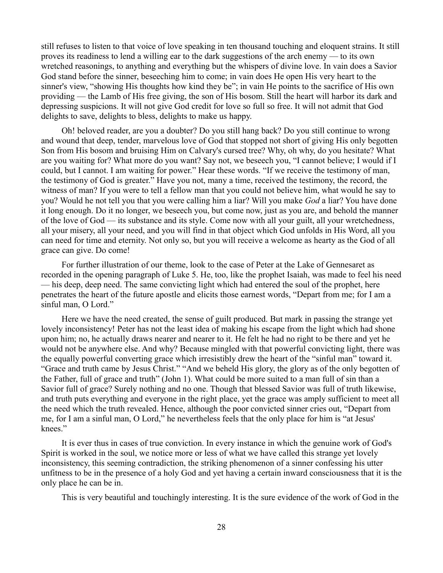still refuses to listen to that voice of love speaking in ten thousand touching and eloquent strains. It still proves its readiness to lend a willing ear to the dark suggestions of the arch enemy — to its own wretched reasonings, to anything and everything but the whispers of divine love. In vain does a Savior God stand before the sinner, beseeching him to come; in vain does He open His very heart to the sinner's view, "showing His thoughts how kind they be"; in vain He points to the sacrifice of His own providing — the Lamb of His free giving, the son of His bosom. Still the heart will harbor its dark and depressing suspicions. It will not give God credit for love so full so free. It will not admit that God delights to save, delights to bless, delights to make us happy.

Oh! beloved reader, are you a doubter? Do you still hang back? Do you still continue to wrong and wound that deep, tender, marvelous love of God that stopped not short of giving His only begotten Son from His bosom and bruising Him on Calvary's cursed tree? Why, oh why, do you hesitate? What are you waiting for? What more do you want? Say not, we beseech you, "I cannot believe; I would if I could, but I cannot. I am waiting for power." Hear these words. "If we receive the testimony of man, the testimony of God is greater." Have you not, many a time, received the testimony, the record, the witness of man? If you were to tell a fellow man that you could not believe him, what would he say to you? Would he not tell you that you were calling him a liar? Will you make *God* a liar? You have done it long enough. Do it no longer, we beseech you, but come now, just as you are, and behold the manner of the love of God — its substance and its style. Come now with all your guilt, all your wretchedness, all your misery, all your need, and you will find in that object which God unfolds in His Word, all you can need for time and eternity. Not only so, but you will receive a welcome as hearty as the God of all grace can give. Do come!

For further illustration of our theme, look to the case of Peter at the Lake of Gennesaret as recorded in the opening paragraph of Luke 5. He, too, like the prophet Isaiah, was made to feel his need — his deep, deep need. The same convicting light which had entered the soul of the prophet, here penetrates the heart of the future apostle and elicits those earnest words, "Depart from me; for I am a sinful man, O Lord."

Here we have the need created, the sense of guilt produced. But mark in passing the strange yet lovely inconsistency! Peter has not the least idea of making his escape from the light which had shone upon him; no, he actually draws nearer and nearer to it. He felt he had no right to be there and yet he would not be anywhere else. And why? Because mingled with that powerful convicting light, there was the equally powerful converting grace which irresistibly drew the heart of the "sinful man" toward it. "Grace and truth came by Jesus Christ." "And we beheld His glory, the glory as of the only begotten of the Father, full of grace and truth" (John 1). What could be more suited to a man full of sin than a Savior full of grace? Surely nothing and no one. Though that blessed Savior was full of truth likewise, and truth puts everything and everyone in the right place, yet the grace was amply sufficient to meet all the need which the truth revealed. Hence, although the poor convicted sinner cries out, "Depart from me, for I am a sinful man, O Lord," he nevertheless feels that the only place for him is "at Jesus' knees."

It is ever thus in cases of true conviction. In every instance in which the genuine work of God's Spirit is worked in the soul, we notice more or less of what we have called this strange yet lovely inconsistency, this seeming contradiction, the striking phenomenon of a sinner confessing his utter unfitness to be in the presence of a holy God and yet having a certain inward consciousness that it is the only place he can be in.

This is very beautiful and touchingly interesting. It is the sure evidence of the work of God in the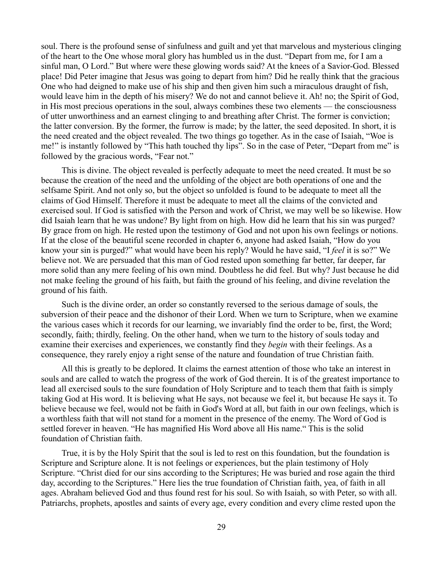soul. There is the profound sense of sinfulness and guilt and yet that marvelous and mysterious clinging of the heart to the One whose moral glory has humbled us in the dust. "Depart from me, for I am a sinful man, O Lord." But where were these glowing words said? At the knees of a Savior-God. Blessed place! Did Peter imagine that Jesus was going to depart from him? Did he really think that the gracious One who had deigned to make use of his ship and then given him such a miraculous draught of fish, would leave him in the depth of his misery? We do not and cannot believe it. Ah! no; the Spirit of God, in His most precious operations in the soul, always combines these two elements — the consciousness of utter unworthiness and an earnest clinging to and breathing after Christ. The former is conviction; the latter conversion. By the former, the furrow is made; by the latter, the seed deposited. In short, it is the need created and the object revealed. The two things go together. As in the case of Isaiah, "Woe is me!" is instantly followed by "This hath touched thy lips". So in the case of Peter, "Depart from me" is followed by the gracious words, "Fear not."

This is divine. The object revealed is perfectly adequate to meet the need created. It must be so because the creation of the need and the unfolding of the object are both operations of one and the selfsame Spirit. And not only so, but the object so unfolded is found to be adequate to meet all the claims of God Himself. Therefore it must be adequate to meet all the claims of the convicted and exercised soul. If God is satisfied with the Person and work of Christ, we may well be so likewise. How did Isaiah learn that he was undone? By light from on high. How did he learn that his sin was purged? By grace from on high. He rested upon the testimony of God and not upon his own feelings or notions. If at the close of the beautiful scene recorded in chapter 6, anyone had asked Isaiah, "How do you know your sin is purged?" what would have been his reply? Would he have said, "I *feel* it is so?" We believe not. We are persuaded that this man of God rested upon something far better, far deeper, far more solid than any mere feeling of his own mind. Doubtless he did feel. But why? Just because he did not make feeling the ground of his faith, but faith the ground of his feeling, and divine revelation the ground of his faith.

Such is the divine order, an order so constantly reversed to the serious damage of souls, the subversion of their peace and the dishonor of their Lord. When we turn to Scripture, when we examine the various cases which it records for our learning, we invariably find the order to be, first, the Word; secondly, faith; thirdly, feeling. On the other hand, when we turn to the history of souls today and examine their exercises and experiences, we constantly find they *begin* with their feelings. As a consequence, they rarely enjoy a right sense of the nature and foundation of true Christian faith.

All this is greatly to be deplored. It claims the earnest attention of those who take an interest in souls and are called to watch the progress of the work of God therein. It is of the greatest importance to lead all exercised souls to the sure foundation of Holy Scripture and to teach them that faith is simply taking God at His word. It is believing what He says, not because we feel it, but because He says it. To believe because we feel, would not be faith in God's Word at all, but faith in our own feelings, which is a worthless faith that will not stand for a moment in the presence of the enemy. The Word of God is settled forever in heaven. "He has magnified His Word above all His name." This is the solid foundation of Christian faith.

True, it is by the Holy Spirit that the soul is led to rest on this foundation, but the foundation is Scripture and Scripture alone. It is not feelings or experiences, but the plain testimony of Holy Scripture. "Christ died for our sins according to the Scriptures; He was buried and rose again the third day, according to the Scriptures." Here lies the true foundation of Christian faith, yea, of faith in all ages. Abraham believed God and thus found rest for his soul. So with Isaiah, so with Peter, so with all. Patriarchs, prophets, apostles and saints of every age, every condition and every clime rested upon the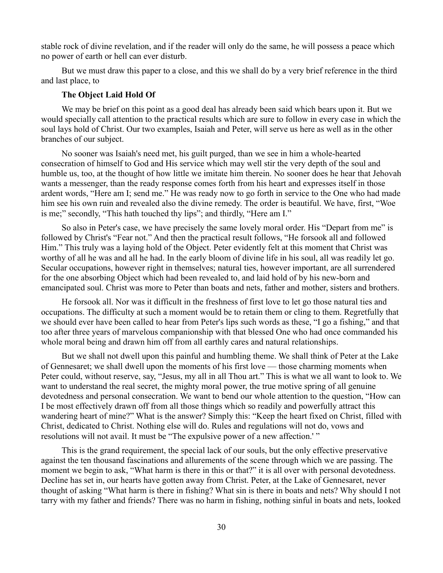stable rock of divine revelation, and if the reader will only do the same, he will possess a peace which no power of earth or hell can ever disturb.

But we must draw this paper to a close, and this we shall do by a very brief reference in the third and last place, to

### **The Object Laid Hold Of**

We may be brief on this point as a good deal has already been said which bears upon it. But we would specially call attention to the practical results which are sure to follow in every case in which the soul lays hold of Christ. Our two examples, Isaiah and Peter, will serve us here as well as in the other branches of our subject.

No sooner was Isaiah's need met, his guilt purged, than we see in him a whole-hearted consecration of himself to God and His service which may well stir the very depth of the soul and humble us, too, at the thought of how little we imitate him therein. No sooner does he hear that Jehovah wants a messenger, than the ready response comes forth from his heart and expresses itself in those ardent words, "Here am I; send me." He was ready now to go forth in service to the One who had made him see his own ruin and revealed also the divine remedy. The order is beautiful. We have, first, "Woe is me;" secondly, "This hath touched thy lips"; and thirdly, "Here am I."

So also in Peter's case, we have precisely the same lovely moral order. His "Depart from me" is followed by Christ's "Fear not." And then the practical result follows, "He forsook all and followed Him." This truly was a laying hold of the Object. Peter evidently felt at this moment that Christ was worthy of all he was and all he had. In the early bloom of divine life in his soul, all was readily let go. Secular occupations, however right in themselves; natural ties, however important, are all surrendered for the one absorbing Object which had been revealed to, and laid hold of by his new-born and emancipated soul. Christ was more to Peter than boats and nets, father and mother, sisters and brothers.

He forsook all. Nor was it difficult in the freshness of first love to let go those natural ties and occupations. The difficulty at such a moment would be to retain them or cling to them. Regretfully that we should ever have been called to hear from Peter's lips such words as these, "I go a fishing," and that too after three years of marvelous companionship with that blessed One who had once commanded his whole moral being and drawn him off from all earthly cares and natural relationships.

But we shall not dwell upon this painful and humbling theme. We shall think of Peter at the Lake of Gennesaret; we shall dwell upon the moments of his first love — those charming moments when Peter could, without reserve, say, "Jesus, my all in all Thou art." This is what we all want to look to. We want to understand the real secret, the mighty moral power, the true motive spring of all genuine devotedness and personal consecration. We want to bend our whole attention to the question, "How can I be most effectively drawn off from all those things which so readily and powerfully attract this wandering heart of mine?" What is the answer? Simply this: "Keep the heart fixed on Christ, filled with Christ, dedicated to Christ. Nothing else will do. Rules and regulations will not do, vows and resolutions will not avail. It must be "The expulsive power of a new affection.'"

This is the grand requirement, the special lack of our souls, but the only effective preservative against the ten thousand fascinations and allurements of the scene through which we are passing. The moment we begin to ask, "What harm is there in this or that?" it is all over with personal devotedness. Decline has set in, our hearts have gotten away from Christ. Peter, at the Lake of Gennesaret, never thought of asking "What harm is there in fishing? What sin is there in boats and nets? Why should I not tarry with my father and friends? There was no harm in fishing, nothing sinful in boats and nets, looked